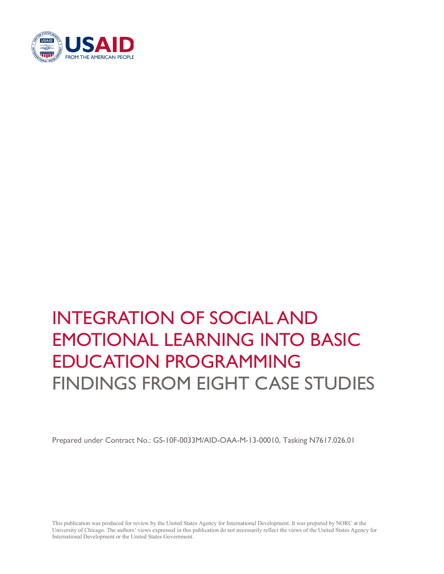

# INTEGRATION OF SOCIAL AND EMOTIONAL LEARNING INTO BASIC EDUCATION PROGRAMMING FINDINGS FROM EIGHT CASE STUDIES

Prepared under Contract No.: GS-10F-0033M/AID-OAA-M-13-00010, Tasking N7617.026.01

This publication was produced for review by the United States Agency for International Development. It was prepared by NORC at the University of Chicago. The authors' views expressed in this publication do not necessarily reflect the views of the United States Agency for International Development or the United States Government.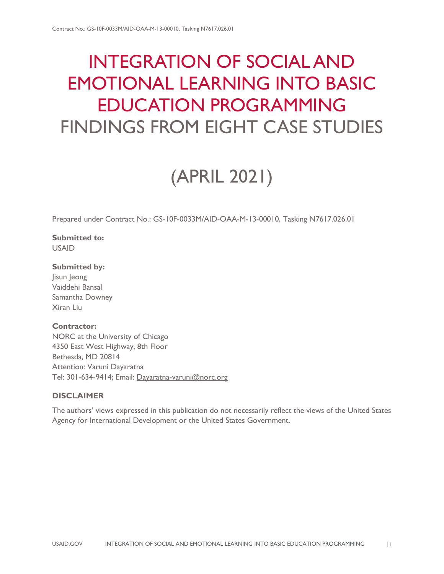## INTEGRATION OF SOCIAL AND EMOTIONAL LEARNING INTO BASIC EDUCATION PROGRAMMING FINDINGS FROM EIGHT CASE STUDIES

# (APRIL 2021)

Prepared under Contract No.: GS-10F-0033M/AID-OAA-M-13-00010, Tasking N7617.026.01

**Submitted to:** USAID

**Submitted by:** lisun leong Vaiddehi Bansal Samantha Downey Xiran Liu

### **Contractor:**

NORC at the University of Chicago 4350 East West Highway, 8th Floor Bethesda, MD 20814 Attention: Varuni Dayaratna Tel: 301-634-9414; Email: [Dayaratna-varuni@norc.org](mailto:Dayaratna-varuni@norc.org)

### **DISCLAIMER**

The authors' views expressed in this publication do not necessarily reflect the views of the United States Agency for International Development or the United States Government.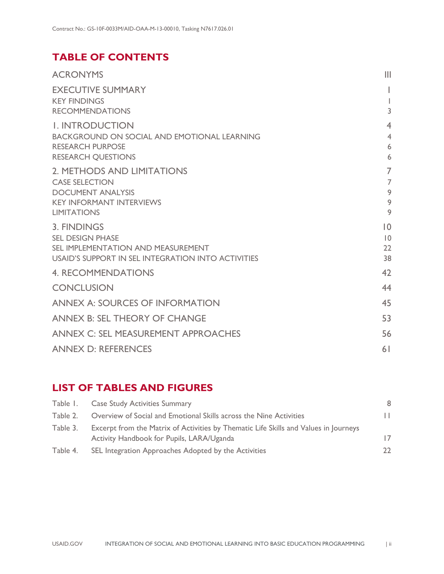### **TABLE OF CONTENTS**

| <b>ACRONYMS</b>                                             | Ш              |
|-------------------------------------------------------------|----------------|
| <b>EXECUTIVE SUMMARY</b>                                    |                |
| <b>KEY FINDINGS</b><br><b>RECOMMENDATIONS</b>               | L<br>3         |
| <b>I. INTRODUCTION</b>                                      | $\overline{4}$ |
| <b>BACKGROUND ON SOCIAL AND EMOTIONAL LEARNING</b>          | $\overline{4}$ |
| <b>RESEARCH PURPOSE</b>                                     | 6              |
| <b>RESEARCH QUESTIONS</b>                                   | 6              |
| 2. METHODS AND LIMITATIONS                                  | $\overline{7}$ |
| <b>CASE SELECTION</b>                                       | $\overline{7}$ |
| <b>DOCUMENT ANALYSIS</b><br><b>KEY INFORMANT INTERVIEWS</b> | 9<br>9         |
| <b>LIMITATIONS</b>                                          | 9              |
| 3. FINDINGS                                                 | $ 0\rangle$    |
| <b>SEL DESIGN PHASE</b>                                     | 10             |
| SEL IMPLEMENTATION AND MEASUREMENT                          | 22             |
| USAID'S SUPPORT IN SEL INTEGRATION INTO ACTIVITIES          | 38             |
| <b>4. RECOMMENDATIONS</b>                                   | 42             |
| <b>CONCLUSION</b>                                           | 44             |
| <b>ANNEX A: SOURCES OF INFORMATION</b>                      | 45             |
| <b>ANNEX B: SEL THEORY OF CHANGE</b>                        | 53             |
| ANNEX C: SEL MEASUREMENT APPROACHES                         | 56             |
| <b>ANNEX D: REFERENCES</b>                                  | 6 <sup>1</sup> |

### **LIST OF TABLES AND FIGURES**

|          | Table 1. Case Study Activities Summary                                                                                            | 8  |
|----------|-----------------------------------------------------------------------------------------------------------------------------------|----|
| Table 2. | Overview of Social and Emotional Skills across the Nine Activities                                                                | Ш  |
| Table 3. | Excerpt from the Matrix of Activities by Thematic Life Skills and Values in Journeys<br>Activity Handbook for Pupils, LARA/Uganda | 17 |
| Table 4. | SEL Integration Approaches Adopted by the Activities                                                                              | フフ |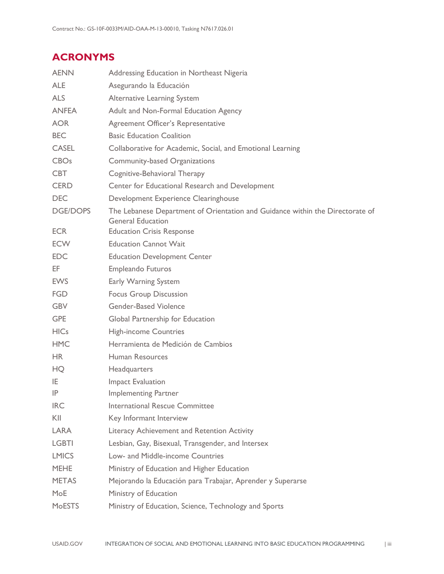### <span id="page-3-0"></span>**ACRONYMS**

| <b>AENN</b>     | Addressing Education in Northeast Nigeria                                                                 |
|-----------------|-----------------------------------------------------------------------------------------------------------|
| <b>ALE</b>      | Asegurando la Educación                                                                                   |
| <b>ALS</b>      | <b>Alternative Learning System</b>                                                                        |
| <b>ANFEA</b>    | Adult and Non-Formal Education Agency                                                                     |
| <b>AOR</b>      | Agreement Officer's Representative                                                                        |
| <b>BEC</b>      | <b>Basic Education Coalition</b>                                                                          |
| <b>CASEL</b>    | Collaborative for Academic, Social, and Emotional Learning                                                |
| <b>CBOs</b>     | Community-based Organizations                                                                             |
| <b>CBT</b>      | Cognitive-Behavioral Therapy                                                                              |
| <b>CERD</b>     | Center for Educational Research and Development                                                           |
| <b>DEC</b>      | Development Experience Clearinghouse                                                                      |
| <b>DGE/DOPS</b> | The Lebanese Department of Orientation and Guidance within the Directorate of<br><b>General Education</b> |
| ECR.            | <b>Education Crisis Response</b>                                                                          |
| <b>ECW</b>      | <b>Education Cannot Wait</b>                                                                              |
| <b>EDC</b>      | <b>Education Development Center</b>                                                                       |
| EF.             | <b>Empleando Futuros</b>                                                                                  |
| <b>EWS</b>      | Early Warning System                                                                                      |
| <b>FGD</b>      | <b>Focus Group Discussion</b>                                                                             |
| <b>GBV</b>      | <b>Gender-Based Violence</b>                                                                              |
| <b>GPE</b>      | Global Partnership for Education                                                                          |
| <b>HICs</b>     | <b>High-income Countries</b>                                                                              |
| <b>HMC</b>      | Herramienta de Medición de Cambios                                                                        |
| <b>HR</b>       | Human Resources                                                                                           |
| HQ              | Headquarters                                                                                              |
| IE              | <b>Impact Evaluation</b>                                                                                  |
| IP              | <b>Implementing Partner</b>                                                                               |
| <b>IRC</b>      | <b>International Rescue Committee</b>                                                                     |
| KII             | Key Informant Interview                                                                                   |
| LARA            | Literacy Achievement and Retention Activity                                                               |
| <b>LGBTI</b>    | Lesbian, Gay, Bisexual, Transgender, and Intersex                                                         |
| <b>LMICS</b>    | Low- and Middle-income Countries                                                                          |
| <b>MEHE</b>     | Ministry of Education and Higher Education                                                                |
| <b>METAS</b>    | Mejorando la Educación para Trabajar, Aprender y Superarse                                                |
| MoE             | Ministry of Education                                                                                     |
| <b>MoESTS</b>   | Ministry of Education, Science, Technology and Sports                                                     |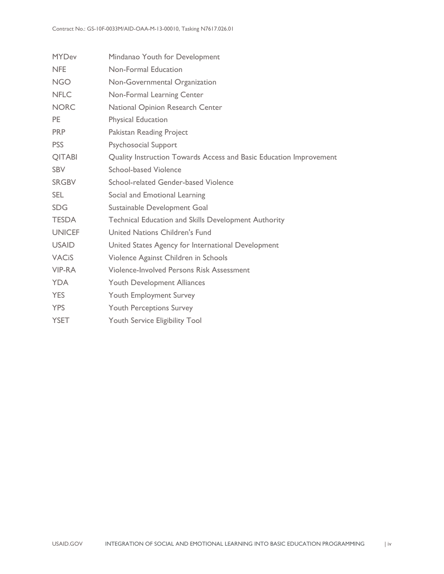| <b>MYDev</b>            | Mindanao Youth for Development                                     |
|-------------------------|--------------------------------------------------------------------|
| <b>NFE</b>              | Non-Formal Education                                               |
| <b>NGO</b>              | Non-Governmental Organization                                      |
| <b>NFLC</b>             | Non-Formal Learning Center                                         |
| <b>NORC</b>             | National Opinion Research Center                                   |
| <b>PE</b>               | <b>Physical Education</b>                                          |
| <b>PRP</b>              | Pakistan Reading Project                                           |
| <b>PSS</b>              | <b>Psychosocial Support</b>                                        |
| <b>QITABI</b>           | Quality Instruction Towards Access and Basic Education Improvement |
| <b>SBV</b>              | School-based Violence                                              |
| <b>SRGBV</b>            | School-related Gender-based Violence                               |
| <b>SEL</b>              | Social and Emotional Learning                                      |
| <b>SDG</b>              | Sustainable Development Goal                                       |
| <b>TESDA</b>            | <b>Technical Education and Skills Development Authority</b>        |
| <b>UNICEF</b>           | United Nations Children's Fund                                     |
| <b>USAID</b>            | United States Agency for International Development                 |
| <b>VAC<sub>i</sub>S</b> | Violence Against Children in Schools                               |
| VIP-RA                  | <b>Violence-Involved Persons Risk Assessment</b>                   |
| <b>YDA</b>              | Youth Development Alliances                                        |
| <b>YES</b>              | <b>Youth Employment Survey</b>                                     |
| <b>YPS</b>              | <b>Youth Perceptions Survey</b>                                    |
| <b>YSET</b>             | <b>Youth Service Eligibility Tool</b>                              |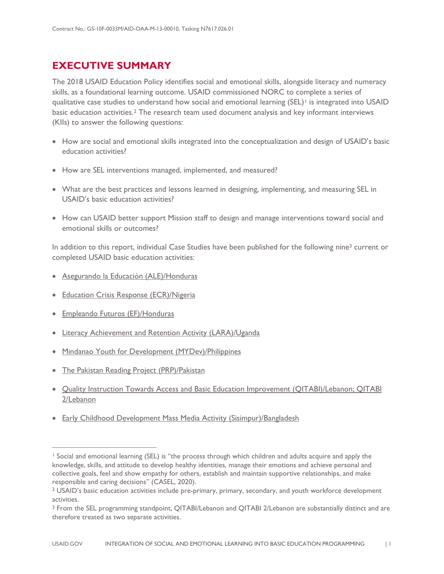### <span id="page-5-0"></span>**EXECUTIVE SUMMARY**

The 2018 USAID Education Policy identifies social and emotional skills, alongside literacy and numeracy skills, as a foundational learning outcome. USAID commissioned NORC to complete a series of qualitative case studies to understand how social and emotional learning (SEL)<sup>[1](#page-5-2)</sup> is integrated into USAID basic education activities.[2](#page-5-3) The research team used document analysis and key informant interviews (KIIs) to answer the following questions:

- How are social and emotional skills integrated into the conceptualization and design of USAID's basic education activities?
- How are SEL interventions managed, implemented, and measured?
- What are the best practices and lessons learned in designing, implementing, and measuring SEL in USAID's basic education activities?
- How can USAID better support Mission staff to design and manage interventions toward social and emotional skills or outcomes?

In addition to this report, individual Case Studies have been published for the following nine<sup>[3](#page-5-4)</sup> current or completed USAID basic education activities:

- <span id="page-5-1"></span>• [Asegurando la Educación \(ALE\)/Honduras](https://www.edu-links.org/sites/default/files/media/file/ALE%20Case%20Study%20Report_4.8.21_final.pdf)
- [Education Crisis Response \(ECR\)/Nigeria](https://www.edu-links.org/sites/default/files/media/file/ECR%20Case%20Study%20Report_4.8.21_final.pdf)
- [Empleando Futuros \(EF\)/Honduras](https://www.edu-links.org/sites/default/files/media/file/EF%20Case%20Study%20Report_4.8.21_final.pdf)

 $\overline{a}$ 

- [Literacy Achievement and Retention Activity \(LARA\)/Uganda](https://www.edu-links.org/sites/default/files/media/file/LARA%20Case%20Study%20Report_4.8.21_final.pdf)
- [Mindanao Youth for Development \(MYDev\)/Philippines](https://www.edu-links.org/sites/default/files/media/file/MYDev%20Case%20Study%20Report_4.8.21_final.pdf)
- [The Pakistan Reading Project \(PRP\)/Pakistan](https://www.edu-links.org/sites/default/files/media/file/PRP%20Case%20Study%20Report_4.8.21_final.pdf)
- [Quality Instruction Towards Access and Basic Education Improvement \(QITABI\)/Lebanon; QITABI](https://www.edu-links.org/sites/default/files/media/file/QITABI%20Case%20Study%20Report_4.8.21_final.pdf)  [2/Lebanon](https://www.edu-links.org/sites/default/files/media/file/QITABI%20Case%20Study%20Report_4.8.21_final.pdf)
- [Early Childhood Development Mass Media Activity \(Sisimpur\)/Bangladesh](https://www.edu-links.org/sites/default/files/media/file/Sisimpur%20Case%20Study%20Report_4.8.21_final.pdf)

<span id="page-5-2"></span><sup>&</sup>lt;sup>1</sup> Social and emotional learning (SEL) is "the process through which children and adults acquire and apply the knowledge, skills, and attitude to develop healthy identities, manage their emotions and achieve personal and collective goals, feel and show empathy for others, establish and maintain supportive relationships, and make responsible and caring decisions" (CASEL, 2020).

<span id="page-5-3"></span><sup>2</sup> USAID's basic education activities include pre-primary, primary, secondary, and youth workforce development activities.

<span id="page-5-4"></span><sup>3</sup> From the SEL programming standpoint, QITABI/Lebanon and QITABI 2/Lebanon are substantially distinct and are therefore treated as two separate activities.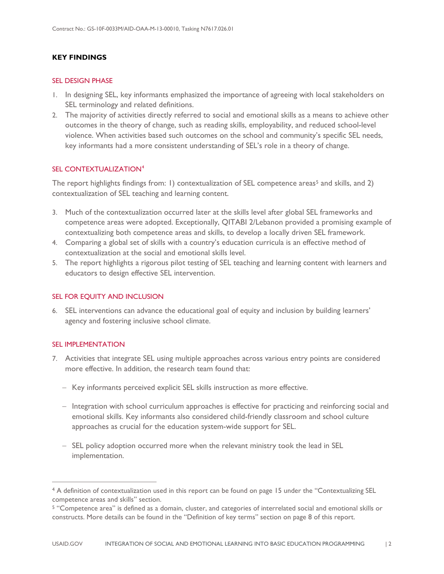### **KEY FINDINGS**

#### SEL DESIGN PHASE

- 1. In designing SEL, key informants emphasized the importance of agreeing with local stakeholders on SEL terminology and related definitions.
- 2. The majority of activities directly referred to social and emotional skills as a means to achieve other outcomes in the theory of change, such as reading skills, employability, and reduced school-level violence. When activities based such outcomes on the school and community's specific SEL needs, key informants had a more consistent understanding of SEL's role in a theory of change.

#### SEL CONTEXTUALIZATION<sup>[4](#page-6-0)</sup>

The report highlights findings from: 1) contextualization of SEL competence areas<sup>[5](#page-6-1)</sup> and skills, and 2) contextualization of SEL teaching and learning content.

- 3. Much of the contextualization occurred later at the skills level after global SEL frameworks and competence areas were adopted. Exceptionally, QITABI 2/Lebanon provided a promising example of contextualizing both competence areas and skills, to develop a locally driven SEL framework.
- 4. Comparing a global set of skills with a country's education curricula is an effective method of contextualization at the social and emotional skills level.
- 5. The report highlights a rigorous pilot testing of SEL teaching and learning content with learners and educators to design effective SEL intervention.

#### SEL FOR EQUITY AND INCLUSION

6. SEL interventions can advance the educational goal of equity and inclusion by building learners' agency and fostering inclusive school climate.

#### SEL IMPLEMENTATION

 $\overline{a}$ 

- 7. Activities that integrate SEL using multiple approaches across various entry points are considered more effective. In addition, the research team found that:
	- − Key informants perceived explicit SEL skills instruction as more effective.
	- − Integration with school curriculum approaches is effective for practicing and reinforcing social and emotional skills. Key informants also considered child-friendly classroom and school culture approaches as crucial for the education system-wide support for SEL.
	- − SEL policy adoption occurred more when the relevant ministry took the lead in SEL implementation.

<span id="page-6-0"></span><sup>4</sup> A definition of contextualization used in this report can be found on page 15 under the "Contextualizing SEL competence areas and skills" section.

<span id="page-6-1"></span><sup>5</sup> "Competence area" is defined as a domain, cluster, and categories of interrelated social and emotional skills or constructs. More details can be found in the "Definition of key terms" section on page 8 of this report.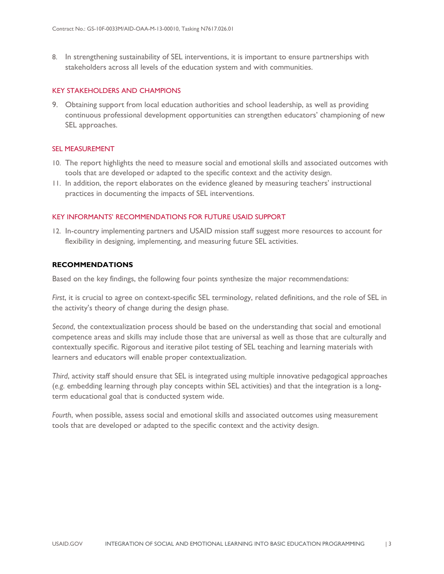8. In strengthening sustainability of SEL interventions, it is important to ensure partnerships with stakeholders across all levels of the education system and with communities.

#### KEY STAKEHOLDERS AND CHAMPIONS

9. Obtaining support from local education authorities and school leadership, as well as providing continuous professional development opportunities can strengthen educators' championing of new SEL approaches.

### SEL MEASUREMENT

- 10. The report highlights the need to measure social and emotional skills and associated outcomes with tools that are developed or adapted to the specific context and the activity design.
- 11. In addition, the report elaborates on the evidence gleaned by measuring teachers' instructional practices in documenting the impacts of SEL interventions.

#### KEY INFORMANTS' RECOMMENDATIONS FOR FUTURE USAID SUPPORT

12. In-country implementing partners and USAID mission staff suggest more resources to account for flexibility in designing, implementing, and measuring future SEL activities.

### <span id="page-7-0"></span>**RECOMMENDATIONS**

Based on the key findings, the following four points synthesize the major recommendations:

*First*, it is crucial to agree on context-specific SEL terminology, related definitions, and the role of SEL in the activity's theory of change during the design phase.

*Second*, the contextualization process should be based on the understanding that social and emotional competence areas and skills may include those that are universal as well as those that are culturally and contextually specific. Rigorous and iterative pilot testing of SEL teaching and learning materials with learners and educators will enable proper contextualization.

*Third*, activity staff should ensure that SEL is integrated using multiple innovative pedagogical approaches (*e.g.* embedding learning through play concepts within SEL activities) and that the integration is a longterm educational goal that is conducted system wide.

*Fourth*, when possible, assess social and emotional skills and associated outcomes using measurement tools that are developed or adapted to the specific context and the activity design.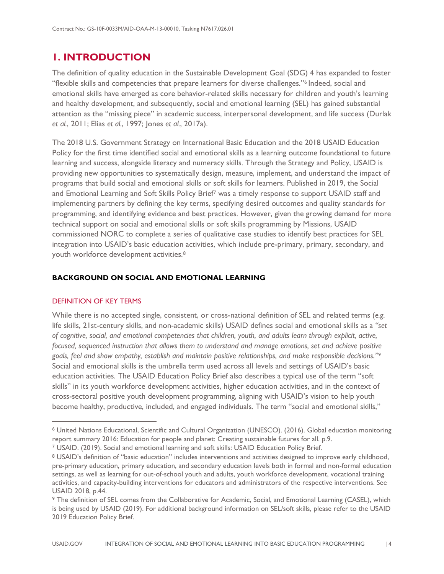### <span id="page-8-0"></span>**1. INTRODUCTION**

The definition of quality education in the Sustainable Development Goal (SDG) 4 has expanded to foster "flexible skills and competencies that prepare learners for diverse challenges."[6](#page-8-2) Indeed, social and emotional skills have emerged as core behavior-related skills necessary for children and youth's learning and healthy development, and subsequently, social and emotional learning (SEL) has gained substantial attention as the "missing piece" in academic success, interpersonal development, and life success (Durlak *et al.*, 2011; Elias *et al.*, 1997; Jones *et al.*, 2017a).

The 2018 U.S. Government Strategy on International Basic Education and the 2018 USAID Education Policy for the first time identified social and emotional skills as a learning outcome foundational to future learning and success, alongside literacy and numeracy skills. Through the Strategy and Policy, USAID is providing new opportunities to systematically design, measure, implement, and understand the impact of programs that build social and emotional skills or soft skills for learners. Published in 2019, the Social and Emotional Learning and Soft Skills Policy Brief[7](#page-8-3) was a timely response to support USAID staff and implementing partners by defining the key terms, specifying desired outcomes and quality standards for programming, and identifying evidence and best practices. However, given the growing demand for more technical support on social and emotional skills or soft skills programming by Missions, USAID commissioned NORC to complete a series of qualitative case studies to identify best practices for SEL integration into USAID's basic education activities, which include pre-primary, primary, secondary, and youth workforce development activities.[8](#page-8-4)

### <span id="page-8-1"></span>**BACKGROUND ON SOCIAL AND EMOTIONAL LEARNING**

### DEFINITION OF KEY TERMS

 $\overline{a}$ 

While there is no accepted single, consistent, or cross-national definition of SEL and related terms (*e.g.* life skills, 21st-century skills, and non-academic skills) USAID defines social and emotional skills as a *"set of cognitive, social, and emotional competencies that children, youth, and adults learn through explicit, active, focused, sequenced instruction that allows them to understand and manage emotions, set and achieve positive goals, feel and show empathy, establish and maintain positive relationships, and make responsible decisions."*[9](#page-8-5) Social and emotional skills is the umbrella term used across all levels and settings of USAID's basic education activities. The USAID Education Policy Brief also describes a typical use of the term "soft skills" in its youth workforce development activities, higher education activities, and in the context of cross-sectoral positive youth development programming, aligning with USAID's vision to help youth become healthy, productive, included, and engaged individuals. The term "social and emotional skills,"

<span id="page-8-2"></span><sup>6</sup> United Nations Educational, Scientific and Cultural Organization (UNESCO). (2016). Global education monitoring report summary 2016: Education for people and planet: Creating sustainable futures for all. p.9. <sup>7</sup> [USAID. \(2019\). Social and emotional learning and soft skills: USAID Education Policy Brief.](https://www.edu-links.org/sites/default/files/media/file/USAID%20Education%20Policy%20Brief%20Social%20and%20Emotional%20Learning%20and%20Soft%20Skills_Final_0.pdf)

<span id="page-8-4"></span><span id="page-8-3"></span><sup>8</sup> USAID's definition of "basic education" includes interventions and activities designed to improve early childhood, pre-primary education, primary education, and secondary education levels both in formal and non-formal education settings, as well as learning for out-of-school youth and adults, youth workforce development, vocational training activities, and capacity-building interventions for educators and administrators of the respective interventions. See USAID 2018, p.44.

<span id="page-8-5"></span><sup>9</sup> The definition of SEL comes from the Collaborative for Academic, Social, and Emotional Learning (CASEL), which is being used by USAID (2019). For additional background information on SEL/soft skills, please refer to the USAID 2019 Education Policy Brief.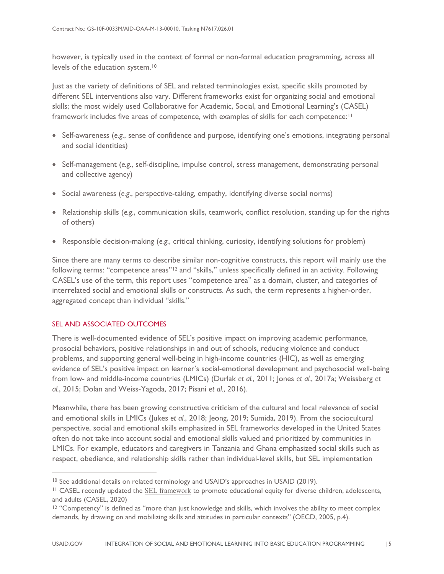however, is typically used in the context of formal or non-formal education programming, across all levels of the education system.<sup>[10](#page-9-0)</sup>

Just as the variety of definitions of SEL and related terminologies exist, specific skills promoted by different SEL interventions also vary. Different frameworks exist for organizing social and emotional skills; the most widely used Collaborative for Academic, Social, and Emotional Learning's (CASEL) framework includes five areas of competence, with examples of skills for each competence:<sup>[11](#page-9-1)</sup>

- Self-awareness (*e.g.*, sense of confidence and purpose, identifying one's emotions, integrating personal and social identities)
- Self-management (*e.g.*, self-discipline, impulse control, stress management, demonstrating personal and collective agency)
- Social awareness (*e.g.*, perspective-taking, empathy, identifying diverse social norms)
- Relationship skills (*e.g.*, communication skills, teamwork, conflict resolution, standing up for the rights of others)
- Responsible decision-making (*e.g.*, critical thinking, curiosity, identifying solutions for problem)

Since there are many terms to describe similar non-cognitive constructs, this report will mainly use the following terms: "competence areas"<sup>[12](#page-9-2)</sup> and "skills," unless specifically defined in an activity. Following CASEL's use of the term, this report uses "competence area" as a domain, cluster, and categories of interrelated social and emotional skills or constructs. As such, the term represents a higher-order, aggregated concept than individual "skills."

### SEL AND ASSOCIATED OUTCOMES

 $\overline{a}$ 

There is well-documented evidence of SEL's positive impact on improving academic performance, prosocial behaviors, positive relationships in and out of schools, reducing violence and conduct problems, and supporting general well-being in high-income countries (HIC), as well as emerging evidence of SEL's positive impact on learner's social-emotional development and psychosocial well-being from low- and middle-income countries (LMICs) (Durlak *et al.*, 2011; Jones *et al.*, 2017a; Weissberg *et al.*, 2015; Dolan and Weiss-Yagoda, 2017; Pisani *et al.*, 2016).

Meanwhile, there has been growing constructive criticism of the cultural and local relevance of social and emotional skills in LMICs (Jukes et al., 2018; Jeong, 2019; Sumida, 2019). From the sociocultural perspective, social and emotional skills emphasized in SEL frameworks developed in the United States often do not take into account social and emotional skills valued and prioritized by communities in LMICs. For example, educators and caregivers in Tanzania and Ghana emphasized social skills such as respect, obedience, and relationship skills rather than individual-level skills, but SEL implementation

<span id="page-9-0"></span><sup>&</sup>lt;sup>10</sup> See additional details on related terminology and USAID's approaches in USAID (2019).

<span id="page-9-1"></span><sup>&</sup>lt;sup>11</sup> CASEL recently updated the [SEL framework](https://casel.org/wp-content/uploads/2020/12/CASEL-SEL-Framework-11.2020.pdf) to promote educational equity for diverse children, adolescents, and adults (CASEL, 2020)

<span id="page-9-2"></span><sup>&</sup>lt;sup>12</sup> "Competency" is defined as "more than just knowledge and skills, which involves the ability to meet complex demands, by drawing on and mobilizing skills and attitudes in particular contexts" (OECD, 2005, p.4).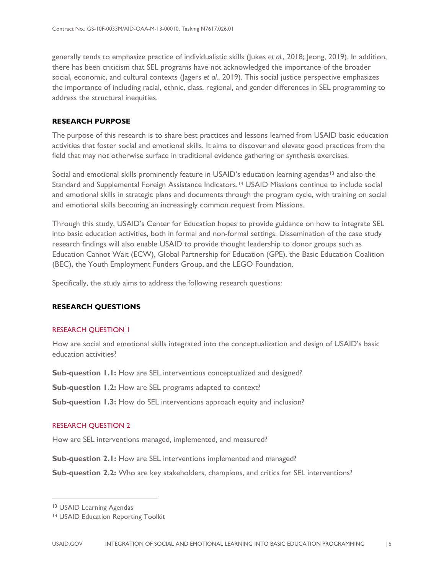generally tends to emphasize practice of individualistic skills (Jukes *et al.*, 2018; Jeong, 2019). In addition, there has been criticism that SEL programs have not acknowledged the importance of the broader social, economic, and cultural contexts (Jagers *et al.*, 2019). This social justice perspective emphasizes the importance of including racial, ethnic, class, regional, and gender differences in SEL programming to address the structural inequities.

### <span id="page-10-0"></span>**RESEARCH PURPOSE**

The purpose of this research is to share best practices and lessons learned from USAID basic education activities that foster social and emotional skills. It aims to discover and elevate good practices from the field that may not otherwise surface in traditional evidence gathering or synthesis exercises.

Social and emotional skills prominently feature in USAID's education learning agendas<sup>[13](#page-10-2)</sup> and also the Standard and Supplemental Foreign Assistance Indicators.<sup>[14](#page-10-3)</sup> USAID Missions continue to include social and emotional skills in strategic plans and documents through the program cycle, with training on social and emotional skills becoming an increasingly common request from Missions.

Through this study, USAID's Center for Education hopes to provide guidance on how to integrate SEL into basic education activities, both in formal and non-formal settings. Dissemination of the case study research findings will also enable USAID to provide thought leadership to donor groups such as Education Cannot Wait (ECW), Global Partnership for Education (GPE), the Basic Education Coalition (BEC), the Youth Employment Funders Group, and the LEGO Foundation.

Specifically, the study aims to address the following research questions:

### <span id="page-10-1"></span>**RESEARCH QUESTIONS**

### RESEARCH QUESTION 1

How are social and emotional skills integrated into the conceptualization and design of USAID's basic education activities?

**Sub-question 1.1:** How are SEL interventions conceptualized and designed?

**Sub-question 1.2:** How are SEL programs adapted to context?

**Sub-question 1.3:** How do SEL interventions approach equity and inclusion?

### RESEARCH QUESTION 2

How are SEL interventions managed, implemented, and measured?

**Sub-question 2.1:** How are SEL interventions implemented and managed?

**Sub-question 2.2:** Who are key stakeholders, champions, and critics for SEL interventions?

 $\overline{a}$ 

<span id="page-10-2"></span><sup>13</sup> [USAID Learning Agendas](https://www.edu-links.org/learning-agendas)

<span id="page-10-3"></span><sup>14</sup> [USAID Education Reporting Toolkit](https://www.edu-links.org/indicators)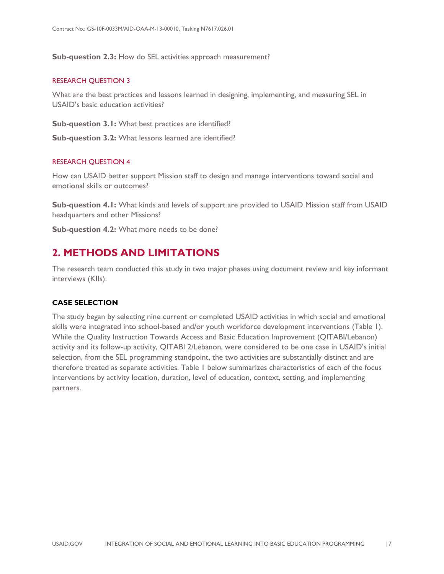**Sub-question 2.3:** How do SEL activities approach measurement?

#### RESEARCH QUESTION 3

What are the best practices and lessons learned in designing, implementing, and measuring SEL in USAID's basic education activities?

**Sub-question 3.1:** What best practices are identified?

**Sub-question 3.2:** What lessons learned are identified?

#### RESEARCH QUESTION 4

How can USAID better support Mission staff to design and manage interventions toward social and emotional skills or outcomes?

**Sub-question 4.1:** What kinds and levels of support are provided to USAID Mission staff from USAID headquarters and other Missions?

**Sub-question 4.2:** What more needs to be done?

### <span id="page-11-0"></span>**2. METHODS AND LIMITATIONS**

The research team conducted this study in two major phases using document review and key informant interviews (KIIs).

### <span id="page-11-1"></span>**CASE SELECTION**

The study began by selecting nine current or completed USAID activities in which social and emotional skills were integrated into school-based and/or youth workforce development interventions (Table 1). While the Quality Instruction Towards Access and Basic Education Improvement (QITABI/Lebanon) activity and its follow-up activity, QITABI 2/Lebanon, were considered to be one case in USAID's initial selection, from the SEL programming standpoint, the two activities are substantially distinct and are therefore treated as separate activities. Table 1 below summarizes characteristics of each of the focus interventions by activity location, duration, level of education, context, setting, and implementing partners.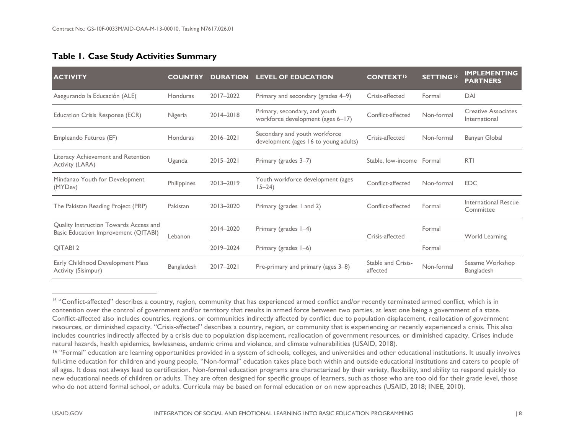### <span id="page-12-2"></span><span id="page-12-1"></span>**Table 1. Case Study Activities Summary**

| <b>ACTIVITY</b>                                                                | <b>COUNTRY</b>    | <b>DURATION</b> | <b>LEVEL OF EDUCATION</b>                                              | <b>CONTEXT<sup>15</sup></b>    | <b>SETTING<sup>16</sup></b> | <b>IMPLEMENTING</b><br><b>PARTNERS</b>      |
|--------------------------------------------------------------------------------|-------------------|-----------------|------------------------------------------------------------------------|--------------------------------|-----------------------------|---------------------------------------------|
| Asegurando la Educación (ALE)                                                  | Honduras          | 2017-2022       | Primary and secondary (grades 4–9)                                     | Crisis-affected                | Formal                      | DAI                                         |
| Education Crisis Response (ECR)                                                | Nigeria           | 2014-2018       | Primary, secondary, and youth<br>workforce development (ages 6-17)     | Conflict-affected              | Non-formal                  | <b>Creative Associates</b><br>International |
| Empleando Futuros (EF)                                                         | Honduras          | $2016 - 2021$   | Secondary and youth workforce<br>development (ages 16 to young adults) | Crisis-affected                | Non-formal                  | Banyan Global                               |
| Literacy Achievement and Retention<br>Activity (LARA)                          | Uganda            | $2015 - 2021$   | Primary (grades 3–7)                                                   | Stable, low-income Formal      |                             | <b>RTI</b>                                  |
| Mindanao Youth for Development<br>(MYDev)                                      | Philippines       | 2013-2019       | Youth workforce development (ages<br>$15 - 24$                         | Conflict-affected              | Non-formal                  | <b>EDC</b>                                  |
| The Pakistan Reading Project (PRP)                                             | Pakistan          | 2013-2020       | Primary (grades 1 and 2)                                               | Conflict-affected              | Formal                      | International Rescue<br>Committee           |
| Quality Instruction Towards Access and<br>Basic Education Improvement (QITABI) | Lebanon           | 2014-2020       | Primary (grades 1-4)                                                   | Crisis-affected                | Formal                      | World Learning                              |
| OITABI <sub>2</sub>                                                            |                   | 2019-2024       | Primary (grades 1-6)                                                   |                                | Formal                      |                                             |
| Early Childhood Development Mass<br>Activity (Sisimpur)                        | <b>Bangladesh</b> | 2017-2021       | Pre-primary and primary (ages 3–8)                                     | Stable and Crisis-<br>affected | Non-formal                  | Sesame Workshop<br>Bangladesh               |

<sup>&</sup>lt;sup>15</sup> "Conflict-affected" describes a country, region, community that has experienced armed conflict and/or recently terminated armed conflict, which is in contention over the control of government and/or territory that results in armed force between two parties, at least one being a government of a state. Conflict-affected also includes countries, regions, or communities indirectly affected by conflict due to population displacement, reallocation of government resources, or diminished capacity. "Crisis-affected" describes a country, region, or community that is experiencing or recently experienced a crisis. This also includes countries indirectly affected by a crisis due to population displacement, reallocation of government resources, or diminished capacity. Crises include natural hazards, health epidemics, lawlessness, endemic crime and violence, and climate vulnerabilities (USAID, 2018).

<span id="page-12-0"></span> $\overline{a}$ 

<sup>&</sup>lt;sup>16</sup> "Formal" education are learning opportunities provided in a system of schools, colleges, and universities and other educational institutions. It usually involves full-time education for children and young people. "Non-formal" education takes place both within and outside educational institutions and caters to people of all ages. It does not always lead to certification. Non-formal education programs are characterized by their variety, flexibility, and ability to respond quickly to new educational needs of children or adults. They are often designed for specific groups of learners, such as those who are too old for their grade level, those who do not attend formal school, or adults. Curricula may be based on formal education or on new approaches (USAID, 2018; INEE, 2010).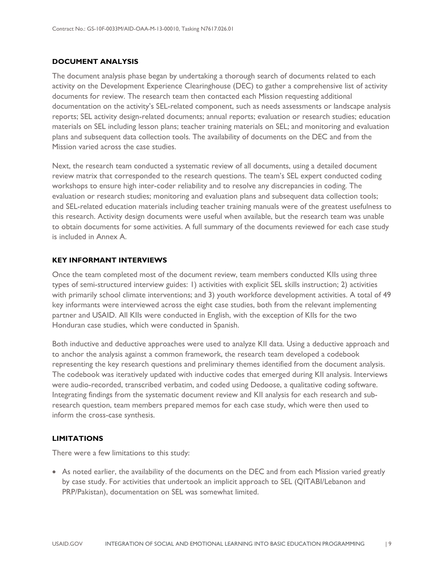### <span id="page-13-0"></span>**DOCUMENT ANALYSIS**

The document analysis phase began by undertaking a thorough search of documents related to each activity on the Development Experience Clearinghouse (DEC) to gather a comprehensive list of activity documents for review. The research team then contacted each Mission requesting additional documentation on the activity's SEL-related component, such as needs assessments or landscape analysis reports; SEL activity design-related documents; annual reports; evaluation or research studies; education materials on SEL including lesson plans; teacher training materials on SEL; and monitoring and evaluation plans and subsequent data collection tools. The availability of documents on the DEC and from the Mission varied across the case studies.

Next, the research team conducted a systematic review of all documents, using a detailed document review matrix that corresponded to the research questions. The team's SEL expert conducted coding workshops to ensure high inter-coder reliability and to resolve any discrepancies in coding. The evaluation or research studies; monitoring and evaluation plans and subsequent data collection tools; and SEL-related education materials including teacher training manuals were of the greatest usefulness to this research. Activity design documents were useful when available, but the research team was unable to obtain documents for some activities. A full summary of the documents reviewed for each case study is included in Annex A.

### <span id="page-13-1"></span>**KEY INFORMANT INTERVIEWS**

Once the team completed most of the document review, team members conducted KIIs using three types of semi-structured interview guides: 1) activities with explicit SEL skills instruction; 2) activities with primarily school climate interventions; and 3) youth workforce development activities. A total of 49 key informants were interviewed across the eight case studies, both from the relevant implementing partner and USAID. All KIIs were conducted in English, with the exception of KIIs for the two Honduran case studies, which were conducted in Spanish.

Both inductive and deductive approaches were used to analyze KII data. Using a deductive approach and to anchor the analysis against a common framework, the research team developed a codebook representing the key research questions and preliminary themes identified from the document analysis. The codebook was iteratively updated with inductive codes that emerged during KII analysis. Interviews were audio-recorded, transcribed verbatim, and coded using Dedoose, a qualitative coding software. Integrating findings from the systematic document review and KII analysis for each research and subresearch question, team members prepared memos for each case study, which were then used to inform the cross-case synthesis.

### <span id="page-13-2"></span>**LIMITATIONS**

There were a few limitations to this study:

• As noted earlier, the availability of the documents on the DEC and from each Mission varied greatly by case study. For activities that undertook an implicit approach to SEL (QITABI/Lebanon and PRP/Pakistan), documentation on SEL was somewhat limited.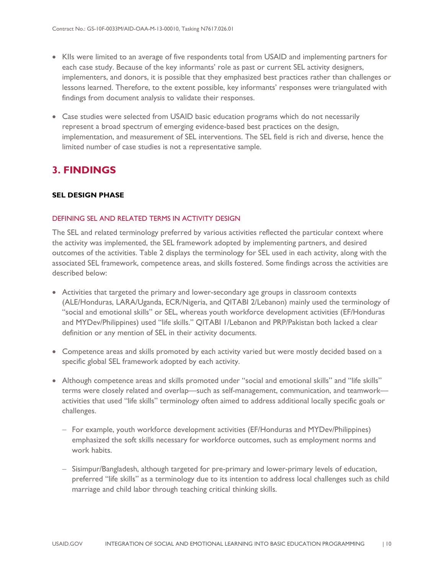- KIIs were limited to an average of five respondents total from USAID and implementing partners for each case study. Because of the key informants' role as past or current SEL activity designers, implementers, and donors, it is possible that they emphasized best practices rather than challenges or lessons learned. Therefore, to the extent possible, key informants' responses were triangulated with findings from document analysis to validate their responses.
- Case studies were selected from USAID basic education programs which do not necessarily represent a broad spectrum of emerging evidence-based best practices on the design, implementation, and measurement of SEL interventions. The SEL field is rich and diverse, hence the limited number of case studies is not a representative sample.

### <span id="page-14-0"></span>**3. FINDINGS**

### <span id="page-14-1"></span>**SEL DESIGN PHASE**

#### DEFINING SEL AND RELATED TERMS IN ACTIVITY DESIGN

The SEL and related terminology preferred by various activities reflected the particular context where the activity was implemented, the SEL framework adopted by implementing partners, and desired outcomes of the activities. Table 2 displays the terminology for SEL used in each activity, along with the associated SEL framework, competence areas, and skills fostered. Some findings across the activities are described below:

- Activities that targeted the primary and lower-secondary age groups in classroom contexts (ALE/Honduras, LARA/Uganda, ECR/Nigeria, and QITABI 2/Lebanon) mainly used the terminology of "social and emotional skills" or SEL, whereas youth workforce development activities (EF/Honduras and MYDev/Philippines) used "life skills." QITABI I/Lebanon and PRP/Pakistan both lacked a clear definition or any mention of SEL in their activity documents.
- Competence areas and skills promoted by each activity varied but were mostly decided based on a specific global SEL framework adopted by each activity.
- Although competence areas and skills promoted under "social and emotional skills" and "life skills" terms were closely related and overlap—such as self-management, communication, and teamwork activities that used "life skills" terminology often aimed to address additional locally specific goals or challenges.
	- − For example, youth workforce development activities (EF/Honduras and MYDev/Philippines) emphasized the soft skills necessary for workforce outcomes, such as employment norms and work habits.
	- − Sisimpur/Bangladesh, although targeted for pre-primary and lower-primary levels of education, preferred "life skills" as a terminology due to its intention to address local challenges such as child marriage and child labor through teaching critical thinking skills.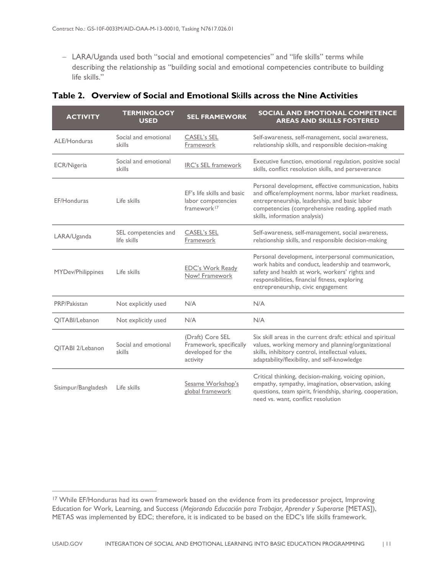− LARA/Uganda used both "social and emotional competencies" and "life skills" terms while describing the relationship as "building social and emotional competencies contribute to building life skills."

| <b>ACTIVITY</b>         | <b>TERMINOLOGY</b><br><b>USED</b>   | <b>SEL FRAMEWORK</b>                                                         | SOCIAL AND EMOTIONAL COMPETENCE<br><b>AREAS AND SKILLS FOSTERED</b>                                                                                                                                                                                  |
|-------------------------|-------------------------------------|------------------------------------------------------------------------------|------------------------------------------------------------------------------------------------------------------------------------------------------------------------------------------------------------------------------------------------------|
| ALE/Honduras            | Social and emotional<br>skills      | <b>CASEL's SEL</b><br>Framework                                              | Self-awareness, self-management, social awareness,<br>relationship skills, and responsible decision-making                                                                                                                                           |
| ECR/Nigeria             | Social and emotional<br>skills      | <b>IRC's SEL framework</b>                                                   | Executive function, emotional regulation, positive social<br>skills, conflict resolution skills, and perseverance                                                                                                                                    |
| EF/Honduras             | Life skills                         | EF's life skills and basic<br>labor competencies<br>framework <sup>17</sup>  | Personal development, effective communication, habits<br>and office/employment norms, labor market readiness,<br>entrepreneurship, leadership, and basic labor<br>competencies (comprehensive reading, applied math<br>skills, information analysis) |
| LARA/Uganda             | SEL competencies and<br>life skills | <b>CASEL's SEL</b><br>Framework                                              | Self-awareness, self-management, social awareness,<br>relationship skills, and responsible decision-making                                                                                                                                           |
| MYDev/Philippines       | Life skills                         | <b>EDC's Work Ready</b><br>Now! Framework                                    | Personal development, interpersonal communication,<br>work habits and conduct, leadership and teamwork,<br>safety and health at work, workers' rights and<br>responsibilities, financial fitness, exploring<br>entrepreneurship, civic engagement    |
| PRP/Pakistan            | Not explicitly used                 | N/A                                                                          | N/A                                                                                                                                                                                                                                                  |
| QITABI/Lebanon          | Not explicitly used                 | N/A                                                                          | N/A                                                                                                                                                                                                                                                  |
| <b>OITABI 2/Lebanon</b> | Social and emotional<br>skills      | (Draft) Core SEL<br>Framework, specifically<br>developed for the<br>activity | Six skill areas in the current draft: ethical and spiritual<br>values, working memory and planning/organizational<br>skills, inhibitory control, intellectual values,<br>adaptability/flexibility, and self-knowledge                                |
| Sisimpur/Bangladesh     | Life skills                         | Sesame Workshop's<br>global framework                                        | Critical thinking, decision-making, voicing opinion,<br>empathy, sympathy, imagination, observation, asking<br>questions, team spirit, friendship, sharing, cooperation,<br>need vs. want, conflict resolution                                       |

### <span id="page-15-0"></span>**Table 2. Overview of Social and Emotional S**k**ills across the Nine Activities**

 $\overline{a}$ 

<span id="page-15-1"></span><sup>&</sup>lt;sup>17</sup> While EF/Honduras had its own framework based on the evidence from its predecessor project, Improving Education for Work, Learning, and Success (*Mejorando Educación para Trabajar, Aprender y Superarse* [METAS]), METAS was implemented by EDC; therefore, it is indicated to be based on the EDC's life skills framework.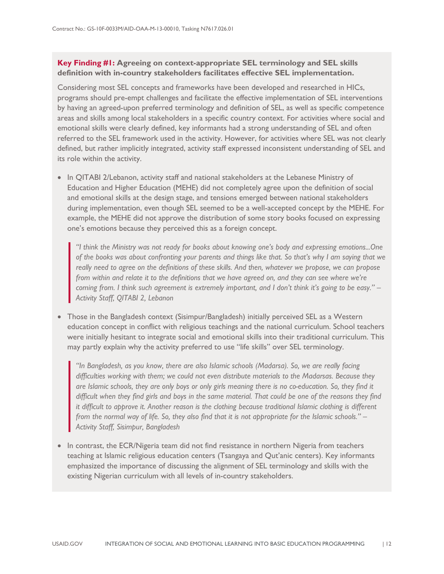### **Key Finding #1: Agreeing on context-appropriate SEL terminology and SEL skills definition with in-country stakeholders facilitates effective SEL implementation.**

Considering most SEL concepts and frameworks have been developed and researched in HICs, programs should pre-empt challenges and facilitate the effective implementation of SEL interventions by having an agreed-upon preferred terminology and definition of SEL, as well as specific competence areas and skills among local stakeholders in a specific country context. For activities where social and emotional skills were clearly defined, key informants had a strong understanding of SEL and often referred to the SEL framework used in the activity. However, for activities where SEL was not clearly defined, but rather implicitly integrated, activity staff expressed inconsistent understanding of SEL and its role within the activity.

• In QITABI 2/Lebanon, activity staff and national stakeholders at the Lebanese Ministry of Education and Higher Education (MEHE) did not completely agree upon the definition of social and emotional skills at the design stage, and tensions emerged between national stakeholders during implementation, even though SEL seemed to be a well-accepted concept by the MEHE. For example, the MEHE did not approve the distribution of some story books focused on expressing one's emotions because they perceived this as a foreign concept.

*"I think the Ministry was not ready for books about knowing one's body and expressing emotions...One of the books was about confronting your parents and things like that. So that's why I am saying that we really need to agree on the definitions of these skills. And then, whatever we propose, we can propose from within and relate it to the definitions that we have agreed on, and they can see where we're coming from. I think such agreement is extremely important, and I don't think it's going to be easy." – Activity Staff, QITABI 2, Lebanon* 

• Those in the Bangladesh context (Sisimpur/Bangladesh) initially perceived SEL as a Western education concept in conflict with religious teachings and the national curriculum. School teachers were initially hesitant to integrate social and emotional skills into their traditional curriculum. This may partly explain why the activity preferred to use "life skills" over SEL terminology.

*"In Bangladesh, as you know, there are also Islamic schools (Madarsa). So, we are really facing difficulties working with them; we could not even distribute materials to the Madarsas. Because they are Islamic schools, they are only boys or only girls meaning there is no co-education. So, they find it difficult when they find girls and boys in the same material. That could be one of the reasons they find it difficult to approve it. Another reason is the clothing because traditional Islamic clothing is different from the normal way of life. So, they also find that it is not appropriate for the Islamic schools." – Activity Staff, Sisimpur, Bangladesh*

• In contrast, the ECR/Nigeria team did not find resistance in northern Nigeria from teachers teaching at Islamic religious education centers (Tsangaya and Qut'anic centers). Key informants emphasized the importance of discussing the alignment of SEL terminology and skills with the existing Nigerian curriculum with all levels of in-country stakeholders.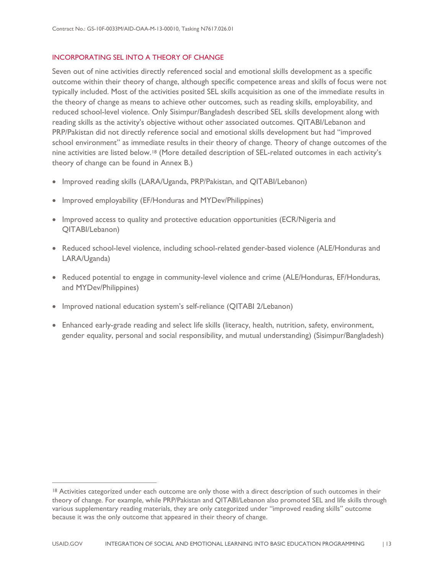### INCORPORATING SEL INTO A THEORY OF CHANGE

Seven out of nine activities directly referenced social and emotional skills development as a specific outcome within their theory of change, although specific competence areas and skills of focus were not typically included. Most of the activities posited SEL skills acquisition as one of the immediate results in the theory of change as means to achieve other outcomes, such as reading skills, employability, and reduced school-level violence. Only Sisimpur/Bangladesh described SEL skills development along with reading skills as the activity's objective without other associated outcomes. QITABI/Lebanon and PRP/Pakistan did not directly reference social and emotional skills development but had "improved school environment" as immediate results in their theory of change. Theory of change outcomes of the nine activities are listed below.[18](#page-17-0) (More detailed description of SEL-related outcomes in each activity's theory of change can be found in Annex B.)

- Improved reading skills (LARA/Uganda, PRP/Pakistan, and QITABI/Lebanon)
- Improved employability (EF/Honduras and MYDev/Philippines)
- Improved access to quality and protective education opportunities (ECR/Nigeria and QITABI/Lebanon)
- Reduced school-level violence, including school-related gender-based violence (ALE/Honduras and LARA/Uganda)
- Reduced potential to engage in community-level violence and crime (ALE/Honduras, EF/Honduras, and MYDev/Philippines)
- Improved national education system's self-reliance (QITABI 2/Lebanon)

 $\overline{a}$ 

• Enhanced early-grade reading and select life skills (literacy, health, nutrition, safety, environment, gender equality, personal and social responsibility, and mutual understanding) (Sisimpur/Bangladesh)

<span id="page-17-0"></span><sup>&</sup>lt;sup>18</sup> Activities categorized under each outcome are only those with a direct description of such outcomes in their theory of change. For example, while PRP/Pakistan and QITABI/Lebanon also promoted SEL and life skills through various supplementary reading materials, they are only categorized under "improved reading skills" outcome because it was the only outcome that appeared in their theory of change.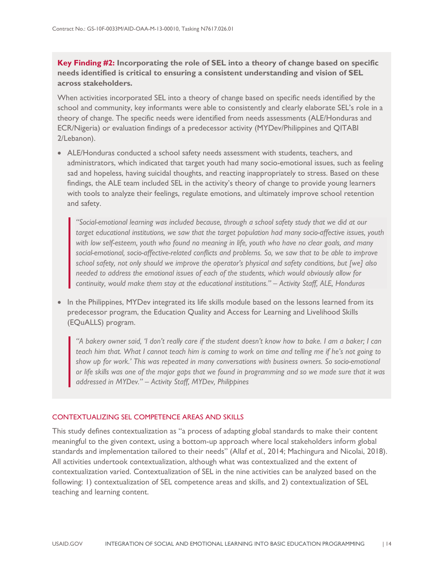**Key Finding #2: Incorporating the role of SEL into a theory of change based on specific needs identified is critical to ensuring a consistent understanding and vision of SEL across stakeholders.** 

When activities incorporated SEL into a theory of change based on specific needs identified by the school and community, key informants were able to consistently and clearly elaborate SEL's role in a theory of change. The specific needs were identified from needs assessments (ALE/Honduras and ECR/Nigeria) or evaluation findings of a predecessor activity (MYDev/Philippines and QITABI 2/Lebanon).

• ALE/Honduras conducted a school safety needs assessment with students, teachers, and administrators, which indicated that target youth had many socio-emotional issues, such as feeling sad and hopeless, having suicidal thoughts, and reacting inappropriately to stress. Based on these findings, the ALE team included SEL in the activity's theory of change to provide young learners with tools to analyze their feelings, regulate emotions, and ultimately improve school retention and safety.

*"Social-emotional learning was included because, through a school safety study that we did at our target educational institutions, we saw that the target population had many socio-affective issues, youth with low self-esteem, youth who found no meaning in life, youth who have no clear goals, and many social-emotional, socio-affective-related conflicts and problems. So, we saw that to be able to improve school safety, not only should we improve the operator's physical and safety conditions, but [we] also needed to address the emotional issues of each of the students, which would obviously allow for continuity, would make them stay at the educational institutions." – Activity Staff, ALE, Honduras*

• In the Philippines, MYDev integrated its life skills module based on the lessons learned from its predecessor program, the Education Quality and Access for Learning and Livelihood Skills (EQuALLS) program.

*"A bakery owner said, 'I don't really care if the student doesn't know how to bake. I am a baker; I can teach him that. What I cannot teach him is coming to work on time and telling me if he's not going to show up for work.' This was repeated in many conversations with business owners. So socio-emotional or life skills was one of the major gaps that we found in programming and so we made sure that it was addressed in MYDev." – Activity Staff, MYDev, Philippines*

#### CONTEXTUALIZING SEL COMPETENCE AREAS AND SKILLS

This study defines contextualization as "a process of adapting global standards to make their content meaningful to the given context, using a bottom-up approach where local stakeholders inform global standards and implementation tailored to their needs" (Allaf *et al.*, 2014; Machingura and Nicolai, 2018). All activities undertook contextualization, although what was contextualized and the extent of contextualization varied. Contextualization of SEL in the nine activities can be analyzed based on the following: 1) contextualization of SEL competence areas and skills, and 2) contextualization of SEL teaching and learning content.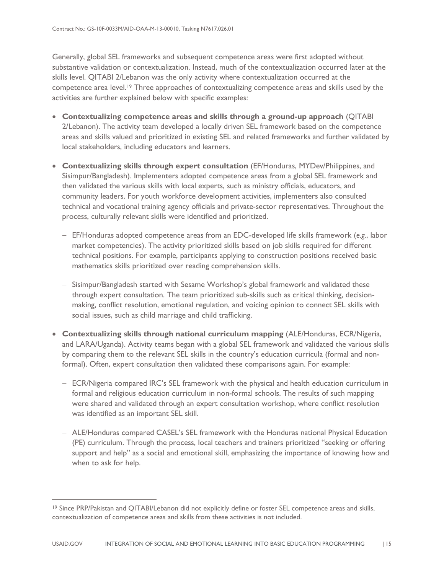Generally, global SEL frameworks and subsequent competence areas were first adopted without substantive validation or contextualization. Instead, much of the contextualization occurred later at the skills level. QITABI 2/Lebanon was the only activity where contextualization occurred at the competence area level.<sup>[19](#page-19-0)</sup> Three approaches of contextualizing competence areas and skills used by the activities are further explained below with specific examples:

- **Contextualizing competence areas and skills through a ground-up approach** (QITABI 2/Lebanon). The activity team developed a locally driven SEL framework based on the competence areas and skills valued and prioritized in existing SEL and related frameworks and further validated by local stakeholders, including educators and learners.
- **Contextualizing skills through expert consultation** (EF/Honduras, MYDev/Philippines, and Sisimpur/Bangladesh). Implementers adopted competence areas from a global SEL framework and then validated the various skills with local experts, such as ministry officials, educators, and community leaders. For youth workforce development activities, implementers also consulted technical and vocational training agency officials and private-sector representatives. Throughout the process, culturally relevant skills were identified and prioritized.
	- − EF/Honduras adopted competence areas from an EDC-developed life skills framework (*e.g.*, labor market competencies). The activity prioritized skills based on job skills required for different technical positions. For example, participants applying to construction positions received basic mathematics skills prioritized over reading comprehension skills.
	- − Sisimpur/Bangladesh started with Sesame Workshop's global framework and validated these through expert consultation. The team prioritized sub-skills such as critical thinking, decisionmaking, conflict resolution, emotional regulation, and voicing opinion to connect SEL skills with social issues, such as child marriage and child trafficking.
- **Contextualizing skills through national curriculum mapping** (ALE/Honduras, ECR/Nigeria, and LARA/Uganda). Activity teams began with a global SEL framework and validated the various skills by comparing them to the relevant SEL skills in the country's education curricula (formal and nonformal). Often, expert consultation then validated these comparisons again. For example:
	- − ECR/Nigeria compared IRC's SEL framework with the physical and health education curriculum in formal and religious education curriculum in non-formal schools. The results of such mapping were shared and validated through an expert consultation workshop, where conflict resolution was identified as an important SEL skill.
	- − ALE/Honduras compared CASEL's SEL framework with the Honduras national Physical Education (PE) curriculum. Through the process, local teachers and trainers prioritized "seeking or offering support and help" as a social and emotional skill, emphasizing the importance of knowing how and when to ask for help.

 $\overline{a}$ 

<span id="page-19-0"></span><sup>19</sup> Since PRP/Pakistan and QITABI/Lebanon did not explicitly define or foster SEL competence areas and skills, contextualization of competence areas and skills from these activities is not included.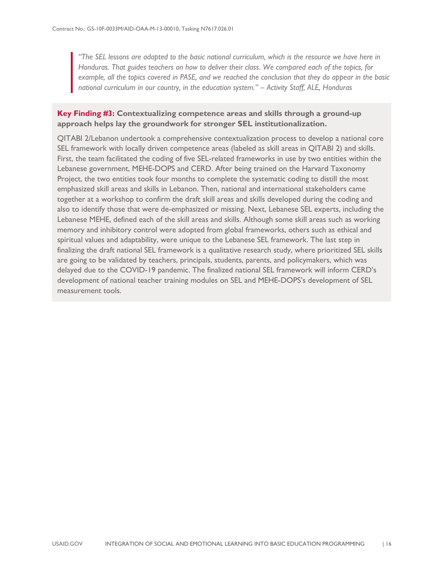*"The SEL lessons are adapted to the basic national curriculum, which is the resource we have here in Honduras. That guides teachers on how to deliver their class. We compared each of the topics, for example, all the topics covered in PASE, and we reached the conclusion that they do appear in the basic national curriculum in our country, in the education system." – Activity Staff, ALE, Honduras*

### **Key Finding #3: Contextualizing competence areas and skills through a ground-up approach helps lay the groundwork for stronger SEL institutionalization.**

QITABI 2/Lebanon undertook a comprehensive contextualization process to develop a national core SEL framework with locally driven competence areas (labeled as skill areas in QITABI 2) and skills. First, the team facilitated the coding of five SEL-related frameworks in use by two entities within the Lebanese government, MEHE-DOPS and CERD. After being trained on the Harvard Taxonomy Project, the two entities took four months to complete the systematic coding to distill the most emphasized skill areas and skills in Lebanon. Then, national and international stakeholders came together at a workshop to confirm the draft skill areas and skills developed during the coding and also to identify those that were de-emphasized or missing. Next, Lebanese SEL experts, including the Lebanese MEHE, defined each of the skill areas and skills. Although some skill areas such as working memory and inhibitory control were adopted from global frameworks, others such as ethical and spiritual values and adaptability, were unique to the Lebanese SEL framework. The last step in finalizing the draft national SEL framework is a qualitative research study, where prioritized SEL skills are going to be validated by teachers, principals, students, parents, and policymakers, which was delayed due to the COVID-19 pandemic. The finalized national SEL framework will inform CERD's development of national teacher training modules on SEL and MEHE-DOPS's development of SEL measurement tools.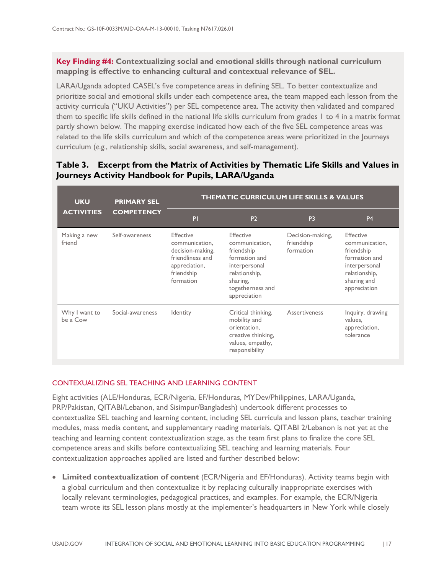### **Key Finding #4: Contextualizing social and emotional skills through national curriculum mapping is effective to enhancing cultural and contextual relevance of SEL.**

LARA/Uganda adopted CASEL's five competence areas in defining SEL. To better contextualize and prioritize social and emotional skills under each competence area, the team mapped each lesson from the activity curricula ("UKU Activities") per SEL competence area. The activity then validated and compared them to specific life skills defined in the national life skills curriculum from grades 1 to 4 in a matrix format partly shown below. The mapping exercise indicated how each of the five SEL competence areas was related to the life skills curriculum and which of the competence areas were prioritized in the Journeys curriculum (*e.g.*, relationship skills, social awareness, and self-management).

#### **UKU ACTIVITIES PRIMARY SEL COMPETENCY THEMATIC CURRICULUM LIFE SKILLS & VALUES** P1 P2 P3 P4 Making a new friend Self-awareness Effective communication, decision-making, friendliness and appreciation, friendship formation Effective communication, friendship formation and interpersonal relationship, sharing, togetherness and appreciation Decision-making, friendship formation Effective communication, friendship formation and interpersonal relationship, sharing and appreciation Why I want to be a Cow Social-awareness Identity Critical thinking, mobility and orientation, creative thinking, values, empathy, responsibility Assertiveness Inquiry, drawing values, appreciation, tolerance

### <span id="page-21-0"></span>**Table 3. Excerpt from the Matrix of Activities by Thematic Life Skills and Values in Journeys Activity Handbook for Pupils, LARA/Uganda**

### CONTEXUALIZING SEL TEACHING AND LEARNING CONTENT

Eight activities (ALE/Honduras, ECR/Nigeria, EF/Honduras, MYDev/Philippines, LARA/Uganda, PRP/Pakistan, QITABI/Lebanon, and Sisimpur/Bangladesh) undertook different processes to contextualize SEL teaching and learning content, including SEL curricula and lesson plans, teacher training modules, mass media content, and supplementary reading materials. QITABI 2/Lebanon is not yet at the teaching and learning content contextualization stage, as the team first plans to finalize the core SEL competence areas and skills before contextualizing SEL teaching and learning materials. Four contextualization approaches applied are listed and further described below:

• **Limited contextualization of content** (ECR/Nigeria and EF/Honduras). Activity teams begin with a global curriculum and then contextualize it by replacing culturally inappropriate exercises with locally relevant terminologies, pedagogical practices, and examples. For example, the ECR/Nigeria team wrote its SEL lesson plans mostly at the implementer's headquarters in New York while closely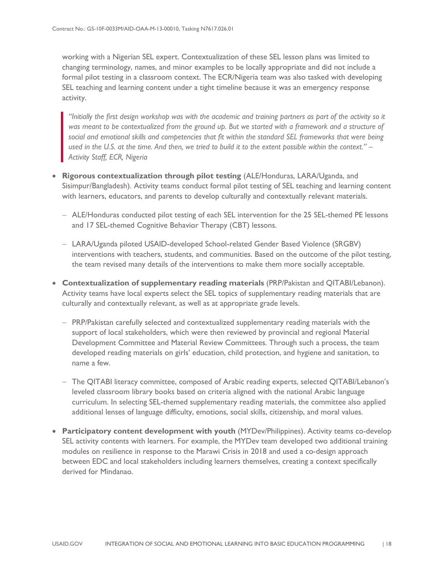working with a Nigerian SEL expert. Contextualization of these SEL lesson plans was limited to changing terminology, names, and minor examples to be locally appropriate and did not include a formal pilot testing in a classroom context. The ECR/Nigeria team was also tasked with developing SEL teaching and learning content under a tight timeline because it was an emergency response activity.

*"Initially the first design workshop was with the academic and training partners as part of the activity so it was meant to be contextualized from the ground up. But we started with a framework and a structure of social and emotional skills and competencies that fit within the standard SEL frameworks that were being used in the U.S. at the time. And then, we tried to build it to the extent possible within the context." – Activity Staff, ECR, Nigeria*

- **Rigorous contextualization through pilot testing** (ALE/Honduras, LARA/Uganda, and Sisimpur/Bangladesh). Activity teams conduct formal pilot testing of SEL teaching and learning content with learners, educators, and parents to develop culturally and contextually relevant materials.
	- − ALE/Honduras conducted pilot testing of each SEL intervention for the 25 SEL-themed PE lessons and 17 SEL-themed Cognitive Behavior Therapy (CBT) lessons.
	- − LARA/Uganda piloted USAID-developed School-related Gender Based Violence (SRGBV) interventions with teachers, students, and communities. Based on the outcome of the pilot testing, the team revised many details of the interventions to make them more socially acceptable.
- **Contextualization of supplementary reading materials** (PRP/Pakistan and QITABI/Lebanon). Activity teams have local experts select the SEL topics of supplementary reading materials that are culturally and contextually relevant, as well as at appropriate grade levels.
	- − PRP/Pakistan carefully selected and contextualized supplementary reading materials with the support of local stakeholders, which were then reviewed by provincial and regional Material Development Committee and Material Review Committees. Through such a process, the team developed reading materials on girls' education, child protection, and hygiene and sanitation, to name a few.
	- − The QITABI literacy committee, composed of Arabic reading experts, selected QITABI/Lebanon's leveled classroom library books based on criteria aligned with the national Arabic language curriculum. In selecting SEL-themed supplementary reading materials, the committee also applied additional lenses of language difficulty, emotions, social skills, citizenship, and moral values.
- **Participatory content development with youth** (MYDev/Philippines). Activity teams co-develop SEL activity contents with learners. For example, the MYDev team developed two additional training modules on resilience in response to the Marawi Crisis in 2018 and used a co-design approach between EDC and local stakeholders including learners themselves, creating a context specifically derived for Mindanao.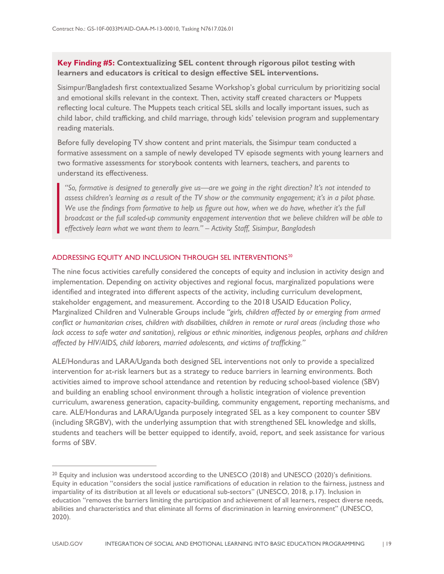### **Key Finding #5: Contextualizing SEL content through rigorous pilot testing with learners and educators is critical to design effective SEL interventions.**

Sisimpur/Bangladesh first contextualized Sesame Workshop's global curriculum by prioritizing social and emotional skills relevant in the context. Then, activity staff created characters or Muppets reflecting local culture. The Muppets teach critical SEL skills and locally important issues, such as child labor, child trafficking, and child marriage, through kids' television program and supplementary reading materials.

Before fully developing TV show content and print materials, the Sisimpur team conducted a formative assessment on a sample of newly developed TV episode segments with young learners and two formative assessments for storybook contents with learners, teachers, and parents to understand its effectiveness.

*"So, formative is designed to generally give us—are we going in the right direction? It's not intended to assess children's learning as a result of the TV show or the community engagement; it's in a pilot phase. We use the findings from formative to help us figure out how, when we do have, whether it's the full broadcast or the full scaled-up community engagement intervention that we believe children will be able to effectively learn what we want them to learn." – Activity Staff, Sisimpur, Bangladesh*

### ADDRESSING EQUITY AND INCLUSION THROUGH SEL INTERVENTIONS<sup>[20](#page-23-0)</sup>

 $\overline{a}$ 

The nine focus activities carefully considered the concepts of equity and inclusion in activity design and implementation. Depending on activity objectives and regional focus, marginalized populations were identified and integrated into different aspects of the activity, including curriculum development, stakeholder engagement, and measurement. According to the 2018 USAID Education Policy, Marginalized Children and Vulnerable Groups include *"girls, children affected by or emerging from armed conflict or humanitarian crises, children with disabilities, children in remote or rural areas (including those who*  lack access to safe water and sanitation), religious or ethnic minorities, indigenous peoples, orphans and children *affected by HIV/AIDS, child laborers, married adolescents, and victims of trafficking."*

ALE/Honduras and LARA/Uganda both designed SEL interventions not only to provide a specialized intervention for at-risk learners but as a strategy to reduce barriers in learning environments. Both activities aimed to improve school attendance and retention by reducing school-based violence (SBV) and building an enabling school environment through a holistic integration of violence prevention curriculum, awareness generation, capacity-building, community engagement, reporting mechanisms, and care. ALE/Honduras and LARA/Uganda purposely integrated SEL as a key component to counter SBV (including SRGBV), with the underlying assumption that with strengthened SEL knowledge and skills, students and teachers will be better equipped to identify, avoid, report, and seek assistance for various forms of SBV.

<span id="page-23-0"></span><sup>&</sup>lt;sup>20</sup> Equity and inclusion was understood according to the UNESCO (2018) and UNESCO (2020)'s definitions. Equity in education "considers the social justice ramifications of education in relation to the fairness, justness and impartiality of its distribution at all levels or educational sub-sectors" (UNESCO, 2018, p.17). Inclusion in education "removes the barriers limiting the participation and achievement of all learners, respect diverse needs, abilities and characteristics and that eliminate all forms of discrimination in learning environment" (UNESCO, 2020).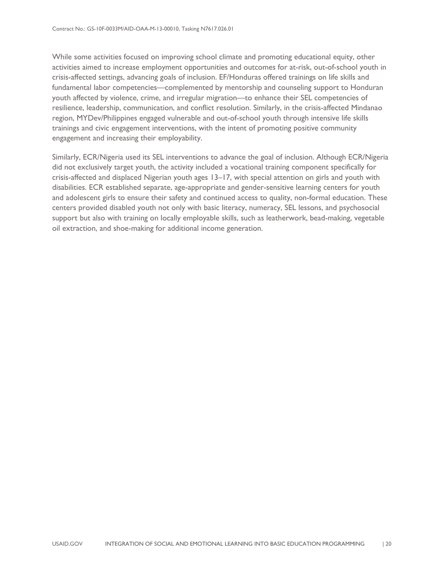While some activities focused on improving school climate and promoting educational equity, other activities aimed to increase employment opportunities and outcomes for at-risk, out-of-school youth in crisis-affected settings, advancing goals of inclusion. EF/Honduras offered trainings on life skills and fundamental labor competencies—complemented by mentorship and counseling support to Honduran youth affected by violence, crime, and irregular migration—to enhance their SEL competencies of resilience, leadership, communication, and conflict resolution. Similarly, in the crisis-affected Mindanao region, MYDev/Philippines engaged vulnerable and out-of-school youth through intensive life skills trainings and civic engagement interventions, with the intent of promoting positive community engagement and increasing their employability.

Similarly, ECR/Nigeria used its SEL interventions to advance the goal of inclusion. Although ECR/Nigeria did not exclusively target youth, the activity included a vocational training component specifically for crisis-affected and displaced Nigerian youth ages 13–17, with special attention on girls and youth with disabilities. ECR established separate, age-appropriate and gender-sensitive learning centers for youth and adolescent girls to ensure their safety and continued access to quality, non-formal education. These centers provided disabled youth not only with basic literacy, numeracy, SEL lessons, and psychosocial support but also with training on locally employable skills, such as leatherwork, bead-making, vegetable oil extraction, and shoe-making for additional income generation.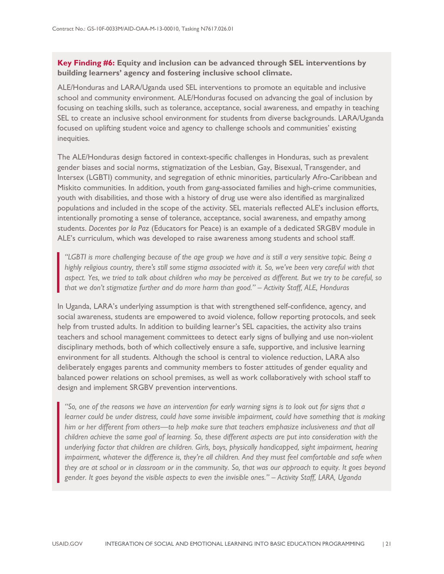### **Key Finding #6: Equity and inclusion can be advanced through SEL interventions by building learners' agency and fostering inclusive school climate.**

ALE/Honduras and LARA/Uganda used SEL interventions to promote an equitable and inclusive school and community environment. ALE/Honduras focused on advancing the goal of inclusion by focusing on teaching skills, such as tolerance, acceptance, social awareness, and empathy in teaching SEL to create an inclusive school environment for students from diverse backgrounds. LARA/Uganda focused on uplifting student voice and agency to challenge schools and communities' existing inequities.

The ALE/Honduras design factored in context-specific challenges in Honduras, such as prevalent gender biases and social norms, stigmatization of the Lesbian, Gay, Bisexual, Transgender, and Intersex (LGBTI) community, and segregation of ethnic minorities, particularly Afro-Caribbean and Miskito communities. In addition, youth from gang-associated families and high-crime communities, youth with disabilities, and those with a history of drug use were also identified as marginalized populations and included in the scope of the activity. SEL materials reflected ALE's inclusion efforts, intentionally promoting a sense of tolerance, acceptance, social awareness, and empathy among students. *Docentes por la Paz* (Educators for Peace) is an example of a dedicated SRGBV module in ALE's curriculum, which was developed to raise awareness among students and school staff.

*"LGBTI is more challenging because of the age group we have and is still a very sensitive topic. Being a highly religious country, there's still some stigma associated with it. So, we've been very careful with that aspect. Yes, we tried to talk about children who may be perceived as different. But we try to be careful, so that we don't stigmatize further and do more harm than good." – Activity Staff, ALE, Honduras*

In Uganda, LARA's underlying assumption is that with strengthened self-confidence, agency, and social awareness, students are empowered to avoid violence, follow reporting protocols, and seek help from trusted adults. In addition to building learner's SEL capacities, the activity also trains teachers and school management committees to detect early signs of bullying and use non-violent disciplinary methods, both of which collectively ensure a safe, supportive, and inclusive learning environment for all students. Although the school is central to violence reduction, LARA also deliberately engages parents and community members to foster attitudes of gender equality and balanced power relations on school premises, as well as work collaboratively with school staff to design and implement SRGBV prevention interventions.

*"So, one of the reasons we have an intervention for early warning signs is to look out for signs that a learner could be under distress, could have some invisible impairment, could have something that is making him or her different from others—to help make sure that teachers emphasize inclusiveness and that all children achieve the same goal of learning. So, these different aspects are put into consideration with the underlying factor that children are children. Girls, boys, physically handicapped, sight impairment, hearing impairment, whatever the difference is, they're all children. And they must feel comfortable and safe when they are at school or in classroom or in the community. So, that was our approach to equity. It goes beyond gender. It goes beyond the visible aspects to even the invisible ones." – Activity Staff, LARA, Uganda*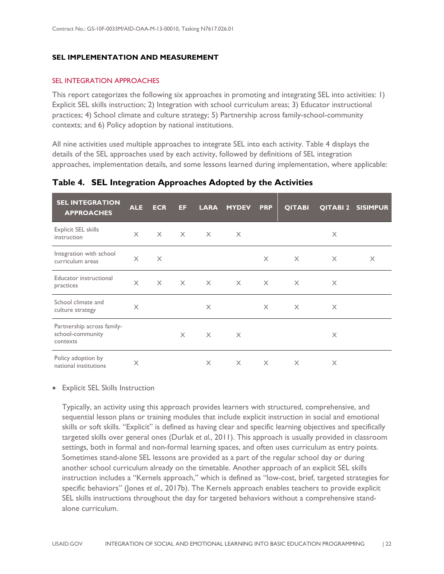### <span id="page-26-0"></span>**SEL IMPLEMENTATION AND MEASUREMENT**

### SEL INTEGRATION APPROACHES

This report categorizes the following six approaches in promoting and integrating SEL into activities: 1) Explicit SEL skills instruction; 2) Integration with school curriculum areas; 3) Educator instructional practices; 4) School climate and culture strategy; 5) Partnership across family-school-community contexts; and 6) Policy adoption by national institutions.

All nine activities used multiple approaches to integrate SEL into each activity. Table 4 displays the details of the SEL approaches used by each activity, followed by definitions of SEL integration approaches, implementation details, and some lessons learned during implementation, where applicable:

| <b>SEL INTEGRATION</b><br><b>APPROACHES</b>                | <b>ALE</b> | <b>ECR</b> | EF       | <b>LARA</b> | <b>MYDEV</b> | <b>PRP</b> | <b>QITABI</b> |          | <b>QITABI 2 SISIMPUR</b> |
|------------------------------------------------------------|------------|------------|----------|-------------|--------------|------------|---------------|----------|--------------------------|
| <b>Explicit SEL skills</b><br>instruction                  | $\times$   | $\times$   | $\times$ | $\times$    | $\times$     |            |               | $\times$ |                          |
| Integration with school<br>curriculum areas                | $\times$   | $\times$   |          |             |              | $\times$   | $\times$      | $\times$ | $\times$                 |
| Educator instructional<br>practices                        | $\times$   | $\times$   | $\times$ | $\times$    | $\times$     | $\times$   | $\times$      | X        |                          |
| School climate and<br>culture strategy                     | $\times$   |            |          | $\times$    |              | $\times$   | $\times$      | $\times$ |                          |
| Partnership across family-<br>school-community<br>contexts |            |            | $\times$ | $\times$    | $\times$     |            |               | $\times$ |                          |
| Policy adoption by<br>national institutions                | $\times$   |            |          | X           | $\times$     | $\times$   | $\times$      | $\times$ |                          |

### <span id="page-26-1"></span>**Table 4. SEL Integration Approaches Adopted by the Activities**

### • Explicit SEL Skills Instruction

Typically, an activity using this approach provides learners with structured, comprehensive, and sequential lesson plans or training modules that include explicit instruction in social and emotional skills or soft skills. "Explicit" is defined as having clear and specific learning objectives and specifically targeted skills over general ones (Durlak *et al.*, 2011). This approach is usually provided in classroom settings, both in formal and non-formal learning spaces, and often uses curriculum as entry points. Sometimes stand-alone SEL lessons are provided as a part of the regular school day or during another school curriculum already on the timetable. Another approach of an explicit SEL skills instruction includes a "Kernels approach," which is defined as "low-cost, brief, targeted strategies for specific behaviors" (Jones *et al.*, 2017b). The Kernels approach enables teachers to provide explicit SEL skills instructions throughout the day for targeted behaviors without a comprehensive standalone curriculum.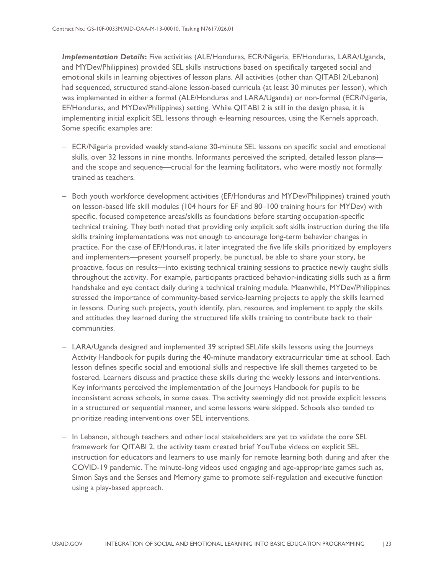*Implementation Details***:** Five activities (ALE/Honduras, ECR/Nigeria, EF/Honduras, LARA/Uganda, and MYDev/Philippines) provided SEL skills instructions based on specifically targeted social and emotional skills in learning objectives of lesson plans. All activities (other than QITABI 2/Lebanon) had sequenced, structured stand-alone lesson-based curricula (at least 30 minutes per lesson), which was implemented in either a formal (ALE/Honduras and LARA/Uganda) or non-formal (ECR/Nigeria, EF/Honduras, and MYDev/Philippines) setting. While QITABI 2 is still in the design phase, it is implementing initial explicit SEL lessons through e-learning resources, using the Kernels approach. Some specific examples are:

- − ECR/Nigeria provided weekly stand-alone 30-minute SEL lessons on specific social and emotional skills, over 32 lessons in nine months. Informants perceived the scripted, detailed lesson plans and the scope and sequence—crucial for the learning facilitators, who were mostly not formally trained as teachers.
- − Both youth workforce development activities (EF/Honduras and MYDev/Philippines) trained youth on lesson-based life skill modules (104 hours for EF and 80–100 training hours for MYDev) with specific, focused competence areas/skills as foundations before starting occupation-specific technical training. They both noted that providing only explicit soft skills instruction during the life skills training implementations was not enough to encourage long-term behavior changes in practice. For the case of EF/Honduras, it later integrated the five life skills prioritized by employers and implementers—present yourself properly, be punctual, be able to share your story, be proactive, focus on results—into existing technical training sessions to practice newly taught skills throughout the activity. For example, participants practiced behavior-indicating skills such as a firm handshake and eye contact daily during a technical training module. Meanwhile, MYDev/Philippines stressed the importance of community-based service-learning projects to apply the skills learned in lessons. During such projects, youth identify, plan, resource, and implement to apply the skills and attitudes they learned during the structured life skills training to contribute back to their communities.
- − LARA/Uganda designed and implemented 39 scripted SEL/life skills lessons using the Journeys Activity Handbook for pupils during the 40-minute mandatory extracurricular time at school. Each lesson defines specific social and emotional skills and respective life skill themes targeted to be fostered. Learners discuss and practice these skills during the weekly lessons and interventions. Key informants perceived the implementation of the Journeys Handbook for pupils to be inconsistent across schools, in some cases. The activity seemingly did not provide explicit lessons in a structured or sequential manner, and some lessons were skipped. Schools also tended to prioritize reading interventions over SEL interventions.
- − In Lebanon, although teachers and other local stakeholders are yet to validate the core SEL framework for QITABI 2, the activity team created brief YouTube videos on explicit SEL instruction for educators and learners to use mainly for remote learning both during and after the COVID-19 pandemic. The minute-long videos used engaging and age-appropriate games such as, Simon Says and the Senses and Memory game to promote self-regulation and executive function using a play-based approach.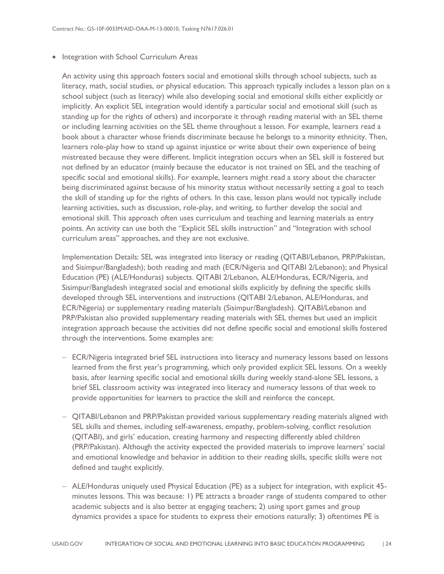• Integration with School Curriculum Areas

An activity using this approach fosters social and emotional skills through school subjects, such as literacy, math, social studies, or physical education. This approach typically includes a lesson plan on a school subject (such as literacy) while also developing social and emotional skills either explicitly or implicitly. An explicit SEL integration would identify a particular social and emotional skill (such as standing up for the rights of others) and incorporate it through reading material with an SEL theme or including learning activities on the SEL theme throughout a lesson. For example, learners read a book about a character whose friends discriminate because he belongs to a minority ethnicity. Then, learners role-play how to stand up against injustice or write about their own experience of being mistreated because they were different. Implicit integration occurs when an SEL skill is fostered but not defined by an educator (mainly because the educator is not trained on SEL and the teaching of specific social and emotional skills). For example, learners might read a story about the character being discriminated against because of his minority status without necessarily setting a goal to teach the skill of standing up for the rights of others. In this case, lesson plans would not typically include learning activities, such as discussion, role-play, and writing, to further develop the social and emotional skill. This approach often uses curriculum and teaching and learning materials as entry points. An activity can use both the "Explicit SEL skills instruction" and "Integration with school curriculum areas" approaches, and they are not exclusive.

Implementation Details: SEL was integrated into literacy or reading (QITABI/Lebanon, PRP/Pakistan, and Sisimpur/Bangladesh); both reading and math (ECR/Nigeria and QITABI 2/Lebanon); and Physical Education (PE) (ALE/Honduras) subjects. QITABI 2/Lebanon, ALE/Honduras, ECR/Nigeria, and Sisimpur/Bangladesh integrated social and emotional skills explicitly by defining the specific skills developed through SEL interventions and instructions (QITABI 2/Lebanon, ALE/Honduras, and ECR/Nigeria) or supplementary reading materials (Sisimpur/Bangladesh). QITABI/Lebanon and PRP/Pakistan also provided supplementary reading materials with SEL themes but used an implicit integration approach because the activities did not define specific social and emotional skills fostered through the interventions. Some examples are:

- − ECR/Nigeria integrated brief SEL instructions into literacy and numeracy lessons based on lessons learned from the first year's programming, which only provided explicit SEL lessons. On a weekly basis, after learning specific social and emotional skills during weekly stand-alone SEL lessons, a brief SEL classroom activity was integrated into literacy and numeracy lessons of that week to provide opportunities for learners to practice the skill and reinforce the concept.
- − QITABI/Lebanon and PRP/Pakistan provided various supplementary reading materials aligned with SEL skills and themes, including self-awareness, empathy, problem-solving, conflict resolution (QITABI), and girls' education, creating harmony and respecting differently abled children (PRP/Pakistan). Although the activity expected the provided materials to improve learners' social and emotional knowledge and behavior in addition to their reading skills, specific skills were not defined and taught explicitly.
- − ALE/Honduras uniquely used Physical Education (PE) as a subject for integration, with explicit 45 minutes lessons. This was because: 1) PE attracts a broader range of students compared to other academic subjects and is also better at engaging teachers; 2) using sport games and group dynamics provides a space for students to express their emotions naturally; 3) oftentimes PE is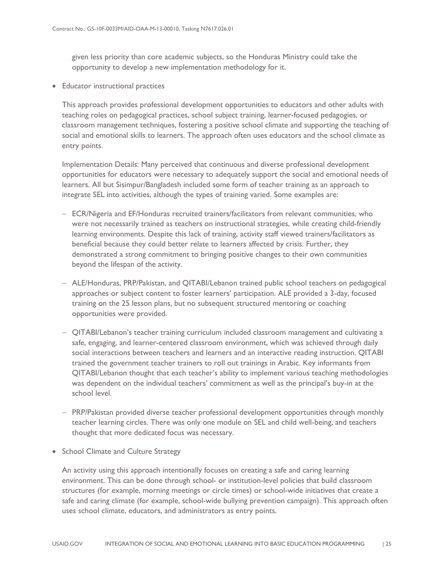given less priority than core academic subjects, so the Honduras Ministry could take the opportunity to develop a new implementation methodology for it.

• Educator instructional practices

This approach provides professional development opportunities to educators and other adults with teaching roles on pedagogical practices, school subject training, learner-focused pedagogies, or classroom management techniques, fostering a positive school climate and supporting the teaching of social and emotional skills to learners. The approach often uses educators and the school climate as entry points.

Implementation Details: Many perceived that continuous and diverse professional development opportunities for educators were necessary to adequately support the social and emotional needs of learners. All but Sisimpur/Bangladesh included some form of teacher training as an approach to integrate SEL into activities, although the types of training varied. Some examples are:

- − ECR/Nigeria and EF/Honduras recruited trainers/facilitators from relevant communities, who were not necessarily trained as teachers on instructional strategies, while creating child-friendly learning environments. Despite this lack of training, activity staff viewed trainers/facilitators as beneficial because they could better relate to learners affected by crisis. Further, they demonstrated a strong commitment to bringing positive changes to their own communities beyond the lifespan of the activity.
- − ALE/Honduras, PRP/Pakistan, and QITABI/Lebanon trained public school teachers on pedagogical approaches or subject content to foster learners' participation. ALE provided a 3-day, focused training on the 25 lesson plans, but no subsequent structured mentoring or coaching opportunities were provided.
- − QITABI/Lebanon's teacher training curriculum included classroom management and cultivating a safe, engaging, and learner-centered classroom environment, which was achieved through daily social interactions between teachers and learners and an interactive reading instruction. QITABI trained the government teacher trainers to roll out trainings in Arabic. Key informants from QITABI/Lebanon thought that each teacher's ability to implement various teaching methodologies was dependent on the individual teachers' commitment as well as the principal's buy-in at the school level.
- − PRP/Pakistan provided diverse teacher professional development opportunities through monthly teacher learning circles. There was only one module on SEL and child well-being, and teachers thought that more dedicated focus was necessary.
- School Climate and Culture Strategy

An activity using this approach intentionally focuses on creating a safe and caring learning environment. This can be done through school- or institution-level policies that build classroom structures (for example, morning meetings or circle times) or school-wide initiatives that create a safe and caring climate (for example, school-wide bullying prevention campaign). This approach often uses school climate, educators, and administrators as entry points.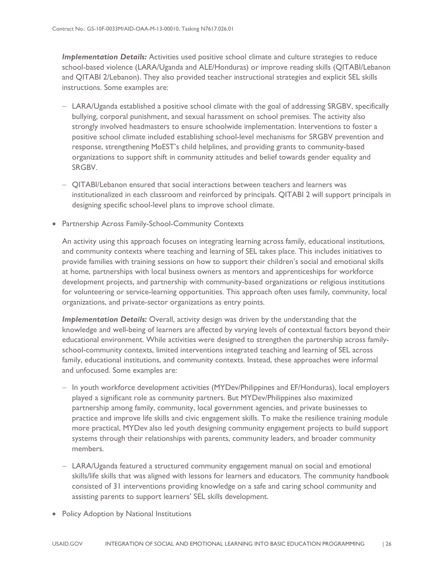*Implementation Details:* Activities used positive school climate and culture strategies to reduce school-based violence (LARA/Uganda and ALE/Honduras) or improve reading skills (QITABI/Lebanon and QITABI 2/Lebanon). They also provided teacher instructional strategies and explicit SEL skills instructions. Some examples are:

- − LARA/Uganda established a positive school climate with the goal of addressing SRGBV, specifically bullying, corporal punishment, and sexual harassment on school premises. The activity also strongly involved headmasters to ensure schoolwide implementation. Interventions to foster a positive school climate included establishing school-level mechanisms for SRGBV prevention and response, strengthening MoEST's child helplines, and providing grants to community-based organizations to support shift in community attitudes and belief towards gender equality and SRGBV.
- − QITABI/Lebanon ensured that social interactions between teachers and learners was institutionalized in each classroom and reinforced by principals. QITABI 2 will support principals in designing specific school-level plans to improve school climate.
- Partnership Across Family-School-Community Contexts

An activity using this approach focuses on integrating learning across family, educational institutions, and community contexts where teaching and learning of SEL takes place. This includes initiatives to provide families with training sessions on how to support their children's social and emotional skills at home, partnerships with local business owners as mentors and apprenticeships for workforce development projects, and partnership with community-based organizations or religious institutions for volunteering or service-learning opportunities. This approach often uses family, community, local organizations, and private-sector organizations as entry points.

*Implementation Details:* Overall, activity design was driven by the understanding that the knowledge and well-being of learners are affected by varying levels of contextual factors beyond their educational environment. While activities were designed to strengthen the partnership across familyschool-community contexts, limited interventions integrated teaching and learning of SEL across family, educational institutions, and community contexts. Instead, these approaches were informal and unfocused. Some examples are:

- − In youth workforce development activities (MYDev/Philippines and EF/Honduras), local employers played a significant role as community partners. But MYDev/Philippines also maximized partnership among family, community, local government agencies, and private businesses to practice and improve life skills and civic engagement skills. To make the resilience training module more practical, MYDev also led youth designing community engagement projects to build support systems through their relationships with parents, community leaders, and broader community members.
- − LARA/Uganda featured a structured community engagement manual on social and emotional skills/life skills that was aligned with lessons for learners and educators. The community handbook consisted of 31 interventions providing knowledge on a safe and caring school community and assisting parents to support learners' SEL skills development.
- Policy Adoption by National Institutions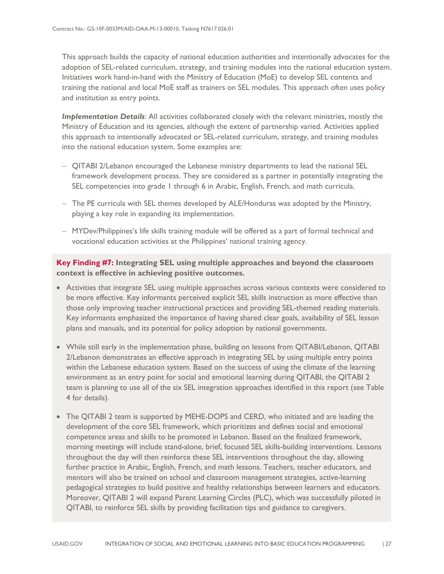This approach builds the capacity of national education authorities and intentionally advocates for the adoption of SEL-related curriculum, strategy, and training modules into the national education system. Initiatives work hand-in-hand with the Ministry of Education (MoE) to develop SEL contents and training the national and local MoE staff as trainers on SEL modules. This approach often uses policy and institution as entry points.

*Implementation Details*: All activities collaborated closely with the relevant ministries, mostly the Ministry of Education and its agencies, although the extent of partnership varied. Activities applied this approach to intentionally advocated or SEL-related curriculum, strategy, and training modules into the national education system. Some examples are:

- − QITABI 2/Lebanon encouraged the Lebanese ministry departments to lead the national SEL framework development process. They are considered as a partner in potentially integrating the SEL competencies into grade 1 through 6 in Arabic, English, French, and math curricula.
- − The PE curricula with SEL themes developed by ALE/Honduras was adopted by the Ministry, playing a key role in expanding its implementation.
- − MYDev/Philippines's life skills training module will be offered as a part of formal technical and vocational education activities at the Philippines' national training agency.

**Key Finding #7: Integrating SEL using multiple approaches and beyond the classroom context is effective in achieving positive outcomes.**

- Activities that integrate SEL using multiple approaches across various contexts were considered to be more effective. Key informants perceived explicit SEL skills instruction as more effective than those only improving teacher instructional practices and providing SEL-themed reading materials. Key informants emphasized the importance of having shared clear goals, availability of SEL lesson plans and manuals, and its potential for policy adoption by national governments.
- While still early in the implementation phase, building on lessons from QITABI/Lebanon, QITABI 2/Lebanon demonstrates an effective approach in integrating SEL by using multiple entry points within the Lebanese education system. Based on the success of using the climate of the learning environment as an entry point for social and emotional learning during QITABI, the QITABI 2 team is planning to use all of the six SEL integration approaches identified in this report (see Table 4 for details).
- The QITABI 2 team is supported by MEHE-DOPS and CERD, who initiated and are leading the development of the core SEL framework, which prioritizes and defines social and emotional competence areas and skills to be promoted in Lebanon. Based on the finalized framework, morning meetings will include stand-alone, brief, focused SEL skills-building interventions. Lessons throughout the day will then reinforce these SEL interventions throughout the day, allowing further practice in Arabic, English, French, and math lessons. Teachers, teacher educators, and mentors will also be trained on school and classroom management strategies, active-learning pedagogical strategies to build positive and healthy relationships between learners and educators. Moreover, QITABI 2 will expand Parent Learning Circles (PLC), which was successfully piloted in QITABI, to reinforce SEL skills by providing facilitation tips and guidance to caregivers.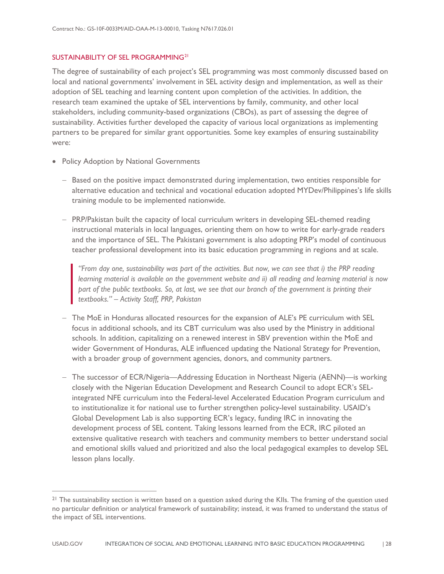### SUSTAINABILITY OF SEL PROGRAMMING<sup>[21](#page-32-0)</sup>

The degree of sustainability of each project's SEL programming was most commonly discussed based on local and national governments' involvement in SEL activity design and implementation, as well as their adoption of SEL teaching and learning content upon completion of the activities. In addition, the research team examined the uptake of SEL interventions by family, community, and other local stakeholders, including community-based organizations (CBOs), as part of assessing the degree of sustainability. Activities further developed the capacity of various local organizations as implementing partners to be prepared for similar grant opportunities. Some key examples of ensuring sustainability were:

• Policy Adoption by National Governments

 $\overline{a}$ 

- − Based on the positive impact demonstrated during implementation, two entities responsible for alternative education and technical and vocational education adopted MYDev/Philippines's life skills training module to be implemented nationwide.
- − PRP/Pakistan built the capacity of local curriculum writers in developing SEL-themed reading instructional materials in local languages, orienting them on how to write for early-grade readers and the importance of SEL. The Pakistani government is also adopting PRP's model of continuous teacher professional development into its basic education programming in regions and at scale.

*"From day one, sustainability was part of the activities. But now, we can see that i) the PRP reading learning material is available on the government website and ii) all reading and learning material is now part of the public textbooks. So, at last, we see that our branch of the government is printing their textbooks." – Activity Staff, PRP, Pakistan*

- − The MoE in Honduras allocated resources for the expansion of ALE's PE curriculum with SEL focus in additional schools, and its CBT curriculum was also used by the Ministry in additional schools. In addition, capitalizing on a renewed interest in SBV prevention within the MoE and wider Government of Honduras, ALE influenced updating the National Strategy for Prevention, with a broader group of government agencies, donors, and community partners.
- − The successor of ECR/Nigeria—Addressing Education in Northeast Nigeria (AENN)—is working closely with the Nigerian Education Development and Research Council to adopt ECR's SELintegrated NFE curriculum into the Federal-level Accelerated Education Program curriculum and to institutionalize it for national use to further strengthen policy-level sustainability. USAID's Global Development Lab is also supporting ECR's legacy, funding IRC in innovating the development process of SEL content. Taking lessons learned from the ECR, IRC piloted an extensive qualitative research with teachers and community members to better understand social and emotional skills valued and prioritized and also the local pedagogical examples to develop SEL lesson plans locally.

<span id="page-32-0"></span><sup>&</sup>lt;sup>21</sup> The sustainability section is written based on a question asked during the KIIs. The framing of the question used no particular definition or analytical framework of sustainability; instead, it was framed to understand the status of the impact of SEL interventions.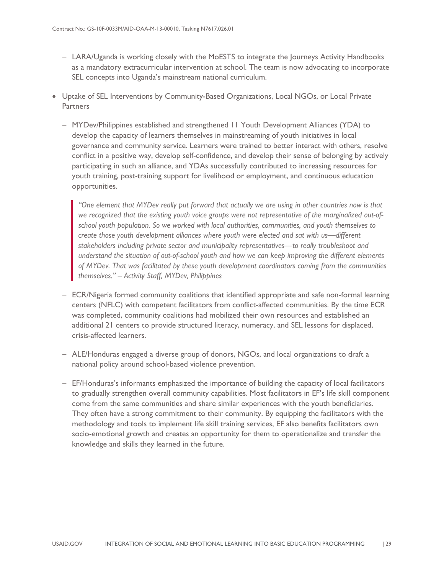- − LARA/Uganda is working closely with the MoESTS to integrate the Journeys Activity Handbooks as a mandatory extracurricular intervention at school. The team is now advocating to incorporate SEL concepts into Uganda's mainstream national curriculum.
- Uptake of SEL Interventions by Community-Based Organizations, Local NGOs, or Local Private **Partners** 
	- − MYDev/Philippines established and strengthened 11 Youth Development Alliances (YDA) to develop the capacity of learners themselves in mainstreaming of youth initiatives in local governance and community service. Learners were trained to better interact with others, resolve conflict in a positive way, develop self-confidence, and develop their sense of belonging by actively participating in such an alliance, and YDAs successfully contributed to increasing resources for youth training, post-training support for livelihood or employment, and continuous education opportunities.

*"One element that MYDev really put forward that actually we are using in other countries now is that we recognized that the existing youth voice groups were not representative of the marginalized out-ofschool youth population. So we worked with local authorities, communities, and youth themselves to create those youth development alliances where youth were elected and sat with us—different stakeholders including private sector and municipality representatives—to really troubleshoot and understand the situation of out-of-school youth and how we can keep improving the different elements of MYDev. That was facilitated by these youth development coordinators coming from the communities themselves." – Activity Staff, MYDev, Philippines*

- − ECR/Nigeria formed community coalitions that identified appropriate and safe non-formal learning centers (NFLC) with competent facilitators from conflict-affected communities. By the time ECR was completed, community coalitions had mobilized their own resources and established an additional 21 centers to provide structured literacy, numeracy, and SEL lessons for displaced, crisis-affected learners.
- − ALE/Honduras engaged a diverse group of donors, NGOs, and local organizations to draft a national policy around school-based violence prevention.
- − EF/Honduras's informants emphasized the importance of building the capacity of local facilitators to gradually strengthen overall community capabilities. Most facilitators in EF's life skill component come from the same communities and share similar experiences with the youth beneficiaries. They often have a strong commitment to their community. By equipping the facilitators with the methodology and tools to implement life skill training services, EF also benefits facilitators own socio-emotional growth and creates an opportunity for them to operationalize and transfer the knowledge and skills they learned in the future.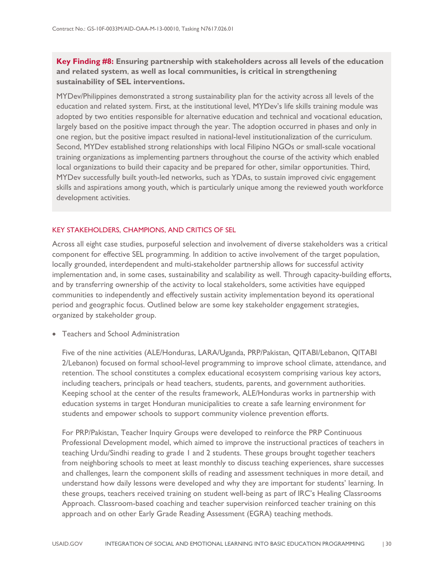### **Key Finding #8: Ensuring partnership with stakeholders across all levels of the education and related system**, **as well as local communities, is critical in strengthening sustainability of SEL interventions.**

MYDev/Philippines demonstrated a strong sustainability plan for the activity across all levels of the education and related system. First, at the institutional level, MYDev's life skills training module was adopted by two entities responsible for alternative education and technical and vocational education, largely based on the positive impact through the year. The adoption occurred in phases and only in one region, but the positive impact resulted in national-level institutionalization of the curriculum. Second, MYDev established strong relationships with local Filipino NGOs or small-scale vocational training organizations as implementing partners throughout the course of the activity which enabled local organizations to build their capacity and be prepared for other, similar opportunities. Third, MYDev successfully built youth-led networks, such as YDAs, to sustain improved civic engagement skills and aspirations among youth, which is particularly unique among the reviewed youth workforce development activities.

### KEY STAKEHOLDERS, CHAMPIONS, AND CRITICS OF SEL

Across all eight case studies, purposeful selection and involvement of diverse stakeholders was a critical component for effective SEL programming. In addition to active involvement of the target population, locally grounded, interdependent and multi-stakeholder partnership allows for successful activity implementation and, in some cases, sustainability and scalability as well. Through capacity-building efforts, and by transferring ownership of the activity to local stakeholders, some activities have equipped communities to independently and effectively sustain activity implementation beyond its operational period and geographic focus. Outlined below are some key stakeholder engagement strategies, organized by stakeholder group.

• Teachers and School Administration

Five of the nine activities (ALE/Honduras, LARA/Uganda, PRP/Pakistan, QITABI/Lebanon, QITABI 2/Lebanon) focused on formal school-level programming to improve school climate, attendance, and retention. The school constitutes a complex educational ecosystem comprising various key actors, including teachers, principals or head teachers, students, parents, and government authorities. Keeping school at the center of the results framework, ALE/Honduras works in partnership with education systems in target Honduran municipalities to create a safe learning environment for students and empower schools to support community violence prevention efforts.

For PRP/Pakistan, Teacher Inquiry Groups were developed to reinforce the PRP Continuous Professional Development model, which aimed to improve the instructional practices of teachers in teaching Urdu/Sindhi reading to grade 1 and 2 students. These groups brought together teachers from neighboring schools to meet at least monthly to discuss teaching experiences, share successes and challenges, learn the component skills of reading and assessment techniques in more detail, and understand how daily lessons were developed and why they are important for students' learning. In these groups, teachers received training on student well-being as part of IRC's Healing Classrooms Approach. Classroom-based coaching and teacher supervision reinforced teacher training on this approach and on other Early Grade Reading Assessment (EGRA) teaching methods.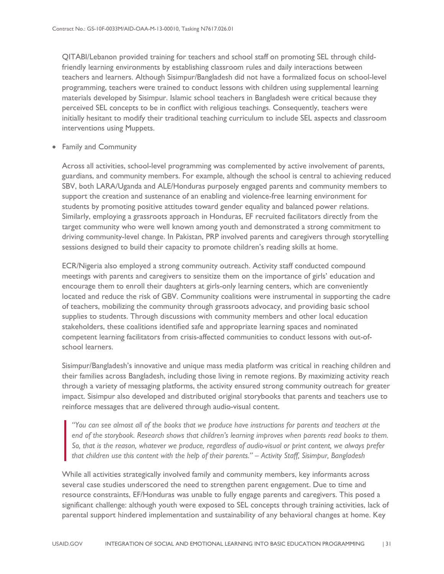QITABI/Lebanon provided training for teachers and school staff on promoting SEL through childfriendly learning environments by establishing classroom rules and daily interactions between teachers and learners. Although Sisimpur/Bangladesh did not have a formalized focus on school-level programming, teachers were trained to conduct lessons with children using supplemental learning materials developed by Sisimpur. Islamic school teachers in Bangladesh were critical because they perceived SEL concepts to be in conflict with religious teachings. Consequently, teachers were initially hesitant to modify their traditional teaching curriculum to include SEL aspects and classroom interventions using Muppets.

• Family and Community

Across all activities, school-level programming was complemented by active involvement of parents, guardians, and community members. For example, although the school is central to achieving reduced SBV, both LARA/Uganda and ALE/Honduras purposely engaged parents and community members to support the creation and sustenance of an enabling and violence-free learning environment for students by promoting positive attitudes toward gender equality and balanced power relations. Similarly, employing a grassroots approach in Honduras, EF recruited facilitators directly from the target community who were well known among youth and demonstrated a strong commitment to driving community-level change. In Pakistan, PRP involved parents and caregivers through storytelling sessions designed to build their capacity to promote children's reading skills at home.

ECR/Nigeria also employed a strong community outreach. Activity staff conducted compound meetings with parents and caregivers to sensitize them on the importance of girls' education and encourage them to enroll their daughters at girls-only learning centers, which are conveniently located and reduce the risk of GBV. Community coalitions were instrumental in supporting the cadre of teachers, mobilizing the community through grassroots advocacy, and providing basic school supplies to students. Through discussions with community members and other local education stakeholders, these coalitions identified safe and appropriate learning spaces and nominated competent learning facilitators from crisis-affected communities to conduct lessons with out-ofschool learners.

Sisimpur/Bangladesh's innovative and unique mass media platform was critical in reaching children and their families across Bangladesh, including those living in remote regions. By maximizing activity reach through a variety of messaging platforms, the activity ensured strong community outreach for greater impact. Sisimpur also developed and distributed original storybooks that parents and teachers use to reinforce messages that are delivered through audio-visual content.

*"You can see almost all of the books that we produce have instructions for parents and teachers at the end of the storybook. Research shows that children's learning improves when parents read books to them. So, that is the reason, whatever we produce, regardless of audio-visual or print content, we always prefer that children use this content with the help of their parents." – Activity Staff, Sisimpur, Bangladesh*

While all activities strategically involved family and community members, key informants across several case studies underscored the need to strengthen parent engagement. Due to time and resource constraints, EF/Honduras was unable to fully engage parents and caregivers. This posed a significant challenge: although youth were exposed to SEL concepts through training activities, lack of parental support hindered implementation and sustainability of any behavioral changes at home. Key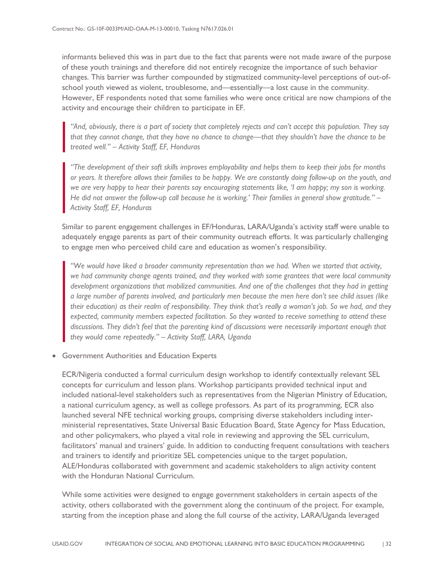informants believed this was in part due to the fact that parents were not made aware of the purpose of these youth trainings and therefore did not entirely recognize the importance of such behavior changes. This barrier was further compounded by stigmatized community-level perceptions of out-ofschool youth viewed as violent, troublesome, and—essentially—a lost cause in the community. However, EF respondents noted that some families who were once critical are now champions of the activity and encourage their children to participate in EF.

*"And, obviously, there is a part of society that completely rejects and can't accept this population. They say that they cannot change, that they have no chance to change—that they shouldn't have the chance to be treated well." – Activity Staff, EF, Honduras*

*"The development of their soft skills improves employability and helps them to keep their jobs for months or years. It therefore allows their families to be happy. We are constantly doing follow-up on the youth, and we are very happy to hear their parents say encouraging statements like, 'I am happy; my son is working. He did not answer the follow-up call because he is working.' Their families in general show gratitude." – Activity Staff, EF, Honduras*

Similar to parent engagement challenges in EF/Honduras, LARA/Uganda's activity staff were unable to adequately engage parents as part of their community outreach efforts. It was particularly challenging to engage men who perceived child care and education as women's responsibility.

*"We would have liked a broader community representation than we had. When we started that activity, we had community change agents trained, and they worked with some grantees that were local community development organizations that mobilized communities. And one of the challenges that they had in getting a large number of parents involved, and particularly men because the men here don't see child issues (like their education) as their realm of responsibility. They think that's really a woman's job. So we had, and they expected, community members expected facilitation. So they wanted to receive something to attend these discussions. They didn't feel that the parenting kind of discussions were necessarily important enough that they would come repeatedly." – Activity Staff, LARA, Uganda*

• Government Authorities and Education Experts

ECR/Nigeria conducted a formal curriculum design workshop to identify contextually relevant SEL concepts for curriculum and lesson plans. Workshop participants provided technical input and included national-level stakeholders such as representatives from the Nigerian Ministry of Education, a national curriculum agency, as well as college professors. As part of its programming, ECR also launched several NFE technical working groups, comprising diverse stakeholders including interministerial representatives, State Universal Basic Education Board, State Agency for Mass Education, and other policymakers, who played a vital role in reviewing and approving the SEL curriculum, facilitators' manual and trainers' guide. In addition to conducting frequent consultations with teachers and trainers to identify and prioritize SEL competencies unique to the target population, ALE/Honduras collaborated with government and academic stakeholders to align activity content with the Honduran National Curriculum.

While some activities were designed to engage government stakeholders in certain aspects of the activity, others collaborated with the government along the continuum of the project. For example, starting from the inception phase and along the full course of the activity, LARA/Uganda leveraged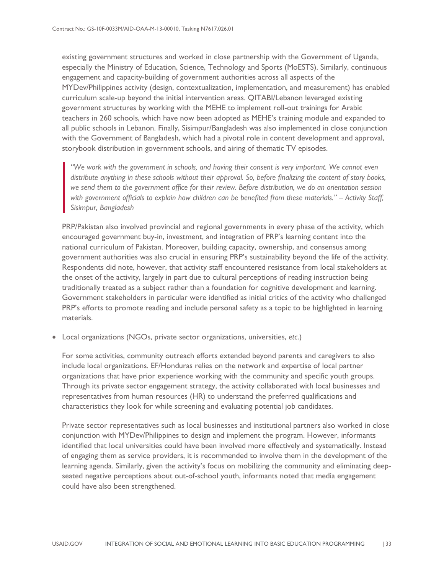existing government structures and worked in close partnership with the Government of Uganda, especially the Ministry of Education, Science, Technology and Sports (MoESTS). Similarly, continuous engagement and capacity-building of government authorities across all aspects of the MYDev/Philippines activity (design, contextualization, implementation, and measurement) has enabled curriculum scale-up beyond the initial intervention areas. QITABI/Lebanon leveraged existing government structures by working with the MEHE to implement roll-out trainings for Arabic teachers in 260 schools, which have now been adopted as MEHE's training module and expanded to all public schools in Lebanon. Finally, Sisimpur/Bangladesh was also implemented in close conjunction with the Government of Bangladesh, which had a pivotal role in content development and approval, storybook distribution in government schools, and airing of thematic TV episodes.

*"We work with the government in schools, and having their consent is very important. We cannot even distribute anything in these schools without their approval. So, before finalizing the content of story books, we send them to the government office for their review. Before distribution, we do an orientation session with government officials to explain how children can be benefited from these materials." – Activity Staff, Sisimpur, Bangladesh*

PRP/Pakistan also involved provincial and regional governments in every phase of the activity, which encouraged government buy-in, investment, and integration of PRP's learning content into the national curriculum of Pakistan. Moreover, building capacity, ownership, and consensus among government authorities was also crucial in ensuring PRP's sustainability beyond the life of the activity. Respondents did note, however, that activity staff encountered resistance from local stakeholders at the onset of the activity, largely in part due to cultural perceptions of reading instruction being traditionally treated as a subject rather than a foundation for cognitive development and learning. Government stakeholders in particular were identified as initial critics of the activity who challenged PRP's efforts to promote reading and include personal safety as a topic to be highlighted in learning materials.

• Local organizations (NGOs, private sector organizations, universities, *etc*.)

For some activities, community outreach efforts extended beyond parents and caregivers to also include local organizations. EF/Honduras relies on the network and expertise of local partner organizations that have prior experience working with the community and specific youth groups. Through its private sector engagement strategy, the activity collaborated with local businesses and representatives from human resources (HR) to understand the preferred qualifications and characteristics they look for while screening and evaluating potential job candidates.

Private sector representatives such as local businesses and institutional partners also worked in close conjunction with MYDev/Philippines to design and implement the program. However, informants identified that local universities could have been involved more effectively and systematically. Instead of engaging them as service providers, it is recommended to involve them in the development of the learning agenda. Similarly, given the activity's focus on mobilizing the community and eliminating deepseated negative perceptions about out-of-school youth, informants noted that media engagement could have also been strengthened.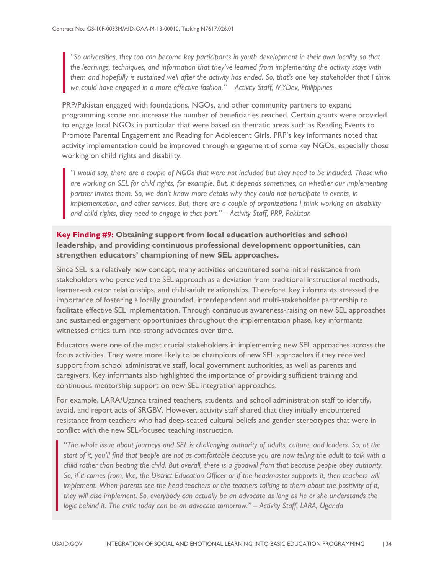*"So universities, they too can become key participants in youth development in their own locality so that the learnings, techniques, and information that they've learned from implementing the activity stays with them and hopefully is sustained well after the activity has ended. So, that's one key stakeholder that I think we could have engaged in a more effective fashion." – Activity Staff, MYDev, Philippines*

PRP/Pakistan engaged with foundations, NGOs, and other community partners to expand programming scope and increase the number of beneficiaries reached. Certain grants were provided to engage local NGOs in particular that were based on thematic areas such as Reading Events to Promote Parental Engagement and Reading for Adolescent Girls. PRP's key informants noted that activity implementation could be improved through engagement of some key NGOs, especially those working on child rights and disability.

*"I would say, there are a couple of NGOs that were not included but they need to be included. Those who are working on SEL for child rights, for example. But, it depends sometimes, on whether our implementing partner invites them. So, we don't know more details why they could not participate in events, in implementation, and other services. But, there are a couple of organizations I think working on disability and child rights, they need to engage in that part." – Activity Staff, PRP, Pakistan*

### **Key Finding #9: Obtaining support from local education authorities and school leadership, and providing continuous professional development opportunities, can strengthen educators' championing of new SEL approaches.**

Since SEL is a relatively new concept, many activities encountered some initial resistance from stakeholders who perceived the SEL approach as a deviation from traditional instructional methods, learner-educator relationships, and child-adult relationships. Therefore, key informants stressed the importance of fostering a locally grounded, interdependent and multi-stakeholder partnership to facilitate effective SEL implementation. Through continuous awareness-raising on new SEL approaches and sustained engagement opportunities throughout the implementation phase, key informants witnessed critics turn into strong advocates over time.

Educators were one of the most crucial stakeholders in implementing new SEL approaches across the focus activities. They were more likely to be champions of new SEL approaches if they received support from school administrative staff, local government authorities, as well as parents and caregivers. Key informants also highlighted the importance of providing sufficient training and continuous mentorship support on new SEL integration approaches.

For example, LARA/Uganda trained teachers, students, and school administration staff to identify, avoid, and report acts of SRGBV. However, activity staff shared that they initially encountered resistance from teachers who had deep-seated cultural beliefs and gender stereotypes that were in conflict with the new SEL-focused teaching instruction.

*"The whole issue about Journeys and SEL is challenging authority of adults, culture, and leaders. So, at the start of it, you'll find that people are not as comfortable because you are now telling the adult to talk with a child rather than beating the child. But overall, there is a goodwill from that because people obey authority. So, if it comes from, like, the District Education Officer or if the headmaster supports it, then teachers will implement. When parents see the head teachers or the teachers talking to them about the positivity of it, they will also implement. So, everybody can actually be an advocate as long as he or she understands the logic behind it. The critic today can be an advocate tomorrow." – Activity Staff, LARA, Uganda*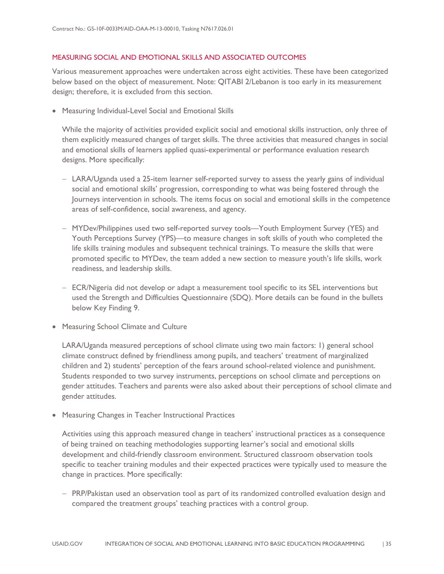### MEASURING SOCIAL AND EMOTIONAL SKILLS AND ASSOCIATED OUTCOMES

Various measurement approaches were undertaken across eight activities. These have been categorized below based on the object of measurement. Note: QITABI 2/Lebanon is too early in its measurement design; therefore, it is excluded from this section.

• Measuring Individual-Level Social and Emotional Skills

While the majority of activities provided explicit social and emotional skills instruction, only three of them explicitly measured changes of target skills. The three activities that measured changes in social and emotional skills of learners applied quasi-experimental or performance evaluation research designs. More specifically:

- − LARA/Uganda used a 25-item learner self-reported survey to assess the yearly gains of individual social and emotional skills' progression, corresponding to what was being fostered through the Journeys intervention in schools. The items focus on social and emotional skills in the competence areas of self-confidence, social awareness, and agency.
- − MYDev/Philippines used two self-reported survey tools—Youth Employment Survey (YES) and Youth Perceptions Survey (YPS)—to measure changes in soft skills of youth who completed the life skills training modules and subsequent technical trainings. To measure the skills that were promoted specific to MYDev, the team added a new section to measure youth's life skills, work readiness, and leadership skills.
- − ECR/Nigeria did not develop or adapt a measurement tool specific to its SEL interventions but used the Strength and Difficulties Questionnaire (SDQ). More details can be found in the bullets below Key Finding 9.
- Measuring School Climate and Culture

LARA/Uganda measured perceptions of school climate using two main factors: 1) general school climate construct defined by friendliness among pupils, and teachers' treatment of marginalized children and 2) students' perception of the fears around school-related violence and punishment. Students responded to two survey instruments, perceptions on school climate and perceptions on gender attitudes. Teachers and parents were also asked about their perceptions of school climate and gender attitudes.

• Measuring Changes in Teacher Instructional Practices

Activities using this approach measured change in teachers' instructional practices as a consequence of being trained on teaching methodologies supporting learner's social and emotional skills development and child-friendly classroom environment. Structured classroom observation tools specific to teacher training modules and their expected practices were typically used to measure the change in practices. More specifically:

− PRP/Pakistan used an observation tool as part of its randomized controlled evaluation design and compared the treatment groups' teaching practices with a control group.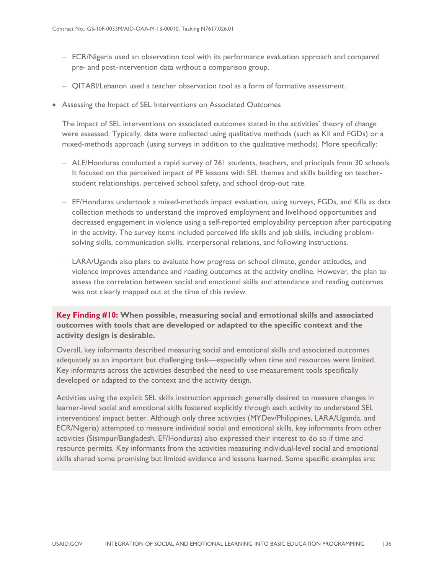- − ECR/Nigeria used an observation tool with its performance evaluation approach and compared pre- and post-intervention data without a comparison group.
- − QITABI/Lebanon used a teacher observation tool as a form of formative assessment.
- Assessing the Impact of SEL Interventions on Associated Outcomes

The impact of SEL interventions on associated outcomes stated in the activities' theory of change were assessed. Typically, data were collected using qualitative methods (such as KII and FGDs) or a mixed-methods approach (using surveys in addition to the qualitative methods). More specifically:

- − ALE/Honduras conducted a rapid survey of 261 students, teachers, and principals from 30 schools. It focused on the perceived impact of PE lessons with SEL themes and skills building on teacherstudent relationships, perceived school safety, and school drop-out rate.
- − EF/Honduras undertook a mixed-methods impact evaluation, using surveys, FGDs, and KIIs as data collection methods to understand the improved employment and livelihood opportunities and decreased engagement in violence using a self-reported employability perception after participating in the activity. The survey items included perceived life skills and job skills, including problemsolving skills, communication skills, interpersonal relations, and following instructions.
- − LARA/Uganda also plans to evaluate how progress on school climate, gender attitudes, and violence improves attendance and reading outcomes at the activity endline. However, the plan to assess the correlation between social and emotional skills and attendance and reading outcomes was not clearly mapped out at the time of this review.

**Key Finding #10: When possible, measuring social and emotional skills and associated outcomes with tools that are developed or adapted to the specific context and the activity design is desirable.** 

Overall, key informants described measuring social and emotional skills and associated outcomes adequately as an important but challenging task—especially when time and resources were limited. Key informants across the activities described the need to use measurement tools specifically developed or adapted to the context and the activity design.

Activities using the explicit SEL skills instruction approach generally desired to measure changes in learner-level social and emotional skills fostered explicitly through each activity to understand SEL interventions' impact better. Although only three activities (MYDev/Philippines, LARA/Uganda, and ECR/Nigeria) attempted to measure individual social and emotional skills, key informants from other activities (Sisimpur/Bangladesh, EF/Honduras) also expressed their interest to do so if time and resource permits. Key informants from the activities measuring individual-level social and emotional skills shared some promising but limited evidence and lessons learned. Some specific examples are: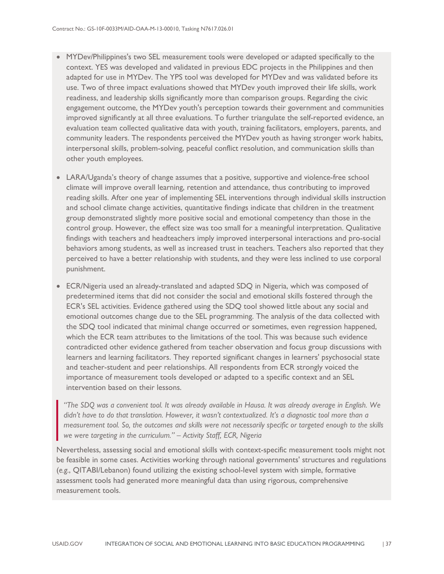- MYDev/Philippines's two SEL measurement tools were developed or adapted specifically to the context. YES was developed and validated in previous EDC projects in the Philippines and then adapted for use in MYDev. The YPS tool was developed for MYDev and was validated before its use. Two of three impact evaluations showed that MYDev youth improved their life skills, work readiness, and leadership skills significantly more than comparison groups. Regarding the civic engagement outcome, the MYDev youth's perception towards their government and communities improved significantly at all three evaluations. To further triangulate the self-reported evidence, an evaluation team collected qualitative data with youth, training facilitators, employers, parents, and community leaders. The respondents perceived the MYDev youth as having stronger work habits, interpersonal skills, problem-solving, peaceful conflict resolution, and communication skills than other youth employees.
- LARA/Uganda's theory of change assumes that a positive, supportive and violence-free school climate will improve overall learning, retention and attendance, thus contributing to improved reading skills. After one year of implementing SEL interventions through individual skills instruction and school climate change activities, quantitative findings indicate that children in the treatment group demonstrated slightly more positive social and emotional competency than those in the control group. However, the effect size was too small for a meaningful interpretation. Qualitative findings with teachers and headteachers imply improved interpersonal interactions and pro-social behaviors among students, as well as increased trust in teachers. Teachers also reported that they perceived to have a better relationship with students, and they were less inclined to use corporal punishment.
- ECR/Nigeria used an already-translated and adapted SDQ in Nigeria, which was composed of predetermined items that did not consider the social and emotional skills fostered through the ECR's SEL activities. Evidence gathered using the SDQ tool showed little about any social and emotional outcomes change due to the SEL programming. The analysis of the data collected with the SDQ tool indicated that minimal change occurred or sometimes, even regression happened, which the ECR team attributes to the limitations of the tool. This was because such evidence contradicted other evidence gathered from teacher observation and focus group discussions with learners and learning facilitators. They reported significant changes in learners' psychosocial state and teacher-student and peer relationships. All respondents from ECR strongly voiced the importance of measurement tools developed or adapted to a specific context and an SEL intervention based on their lessons.

*"The SDQ was a convenient tool. It was already available in Hausa. It was already average in English. We didn't have to do that translation. However, it wasn't contextualized. It's a diagnostic tool more than a measurement tool. So, the outcomes and skills were not necessarily specific or targeted enough to the skills we were targeting in the curriculum." – Activity Staff, ECR, Nigeria*

Nevertheless, assessing social and emotional skills with context-specific measurement tools might not be feasible in some cases. Activities working through national governments' structures and regulations (*e.g.*, QITABI/Lebanon) found utilizing the existing school-level system with simple, formative assessment tools had generated more meaningful data than using rigorous, comprehensive measurement tools.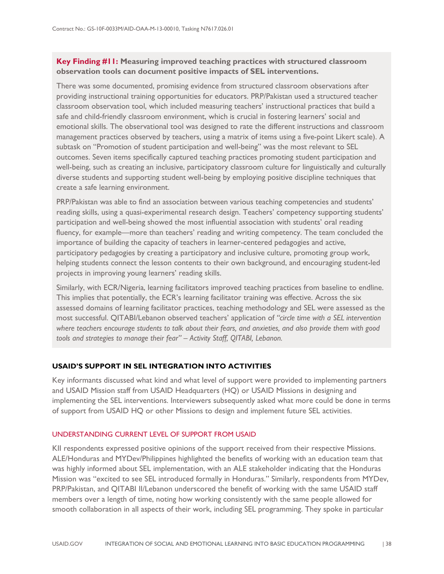### **Key Finding #11: Measuring improved teaching practices with structured classroom observation tools can document positive impacts of SEL interventions.**

There was some documented, promising evidence from structured classroom observations after providing instructional training opportunities for educators. PRP/Pakistan used a structured teacher classroom observation tool, which included measuring teachers' instructional practices that build a safe and child-friendly classroom environment, which is crucial in fostering learners' social and emotional skills. The observational tool was designed to rate the different instructions and classroom management practices observed by teachers, using a matrix of items using a five-point Likert scale). A subtask on "Promotion of student participation and well-being" was the most relevant to SEL outcomes. Seven items specifically captured teaching practices promoting student participation and well-being, such as creating an inclusive, participatory classroom culture for linguistically and culturally diverse students and supporting student well-being by employing positive discipline techniques that create a safe learning environment.

PRP/Pakistan was able to find an association between various teaching competencies and students' reading skills, using a quasi-experimental research design. Teachers' competency supporting students' participation and well-being showed the most influential association with students' oral reading fluency, for example—more than teachers' reading and writing competency. The team concluded the importance of building the capacity of teachers in learner-centered pedagogies and active, participatory pedagogies by creating a participatory and inclusive culture, promoting group work, helping students connect the lesson contents to their own background, and encouraging student-led projects in improving young learners' reading skills.

Similarly, with ECR/Nigeria, learning facilitators improved teaching practices from baseline to endline. This implies that potentially, the ECR's learning facilitator training was effective. Across the six assessed domains of learning facilitator practices, teaching methodology and SEL were assessed as the most successful. QITABI/Lebanon observed teachers' application of *"circle time with a SEL intervention where teachers encourage students to talk about their fears, and anxieties, and also provide them with good tools and strategies to manage their fear" – Activity Staff, QITABI, Lebanon.*

### <span id="page-42-0"></span>**USAID'S SUPPORT IN SEL INTEGRATION INTO ACTIVITIES**

Key informants discussed what kind and what level of support were provided to implementing partners and USAID Mission staff from USAID Headquarters (HQ) or USAID Missions in designing and implementing the SEL interventions. Interviewers subsequently asked what more could be done in terms of support from USAID HQ or other Missions to design and implement future SEL activities.

### UNDERSTANDING CURRENT LEVEL OF SUPPORT FROM USAID

KII respondents expressed positive opinions of the support received from their respective Missions. ALE/Honduras and MYDev/Philippines highlighted the benefits of working with an education team that was highly informed about SEL implementation, with an ALE stakeholder indicating that the Honduras Mission was "excited to see SEL introduced formally in Honduras." Similarly, respondents from MYDev, PRP/Pakistan, and QITABI II/Lebanon underscored the benefit of working with the same USAID staff members over a length of time, noting how working consistently with the same people allowed for smooth collaboration in all aspects of their work, including SEL programming. They spoke in particular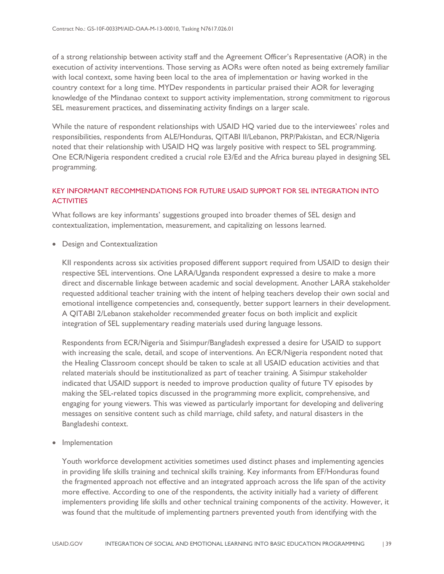of a strong relationship between activity staff and the Agreement Officer's Representative (AOR) in the execution of activity interventions. Those serving as AORs were often noted as being extremely familiar with local context, some having been local to the area of implementation or having worked in the country context for a long time. MYDev respondents in particular praised their AOR for leveraging knowledge of the Mindanao context to support activity implementation, strong commitment to rigorous SEL measurement practices, and disseminating activity findings on a larger scale.

While the nature of respondent relationships with USAID HQ varied due to the interviewees' roles and responsibilities, respondents from ALE/Honduras, QITABI II/Lebanon, PRP/Pakistan, and ECR/Nigeria noted that their relationship with USAID HQ was largely positive with respect to SEL programming. One ECR/Nigeria respondent credited a crucial role E3/Ed and the Africa bureau played in designing SEL programming.

### KEY INFORMANT RECOMMENDATIONS FOR FUTURE USAID SUPPORT FOR SEL INTEGRATION INTO **ACTIVITIES**

What follows are key informants' suggestions grouped into broader themes of SEL design and contextualization, implementation, measurement, and capitalizing on lessons learned.

• Design and Contextualization

KII respondents across six activities proposed different support required from USAID to design their respective SEL interventions. One LARA/Uganda respondent expressed a desire to make a more direct and discernable linkage between academic and social development. Another LARA stakeholder requested additional teacher training with the intent of helping teachers develop their own social and emotional intelligence competencies and, consequently, better support learners in their development. A QITABI 2/Lebanon stakeholder recommended greater focus on both implicit and explicit integration of SEL supplementary reading materials used during language lessons.

Respondents from ECR/Nigeria and Sisimpur/Bangladesh expressed a desire for USAID to support with increasing the scale, detail, and scope of interventions. An ECR/Nigeria respondent noted that the Healing Classroom concept should be taken to scale at all USAID education activities and that related materials should be institutionalized as part of teacher training. A Sisimpur stakeholder indicated that USAID support is needed to improve production quality of future TV episodes by making the SEL-related topics discussed in the programming more explicit, comprehensive, and engaging for young viewers. This was viewed as particularly important for developing and delivering messages on sensitive content such as child marriage, child safety, and natural disasters in the Bangladeshi context.

• Implementation

Youth workforce development activities sometimes used distinct phases and implementing agencies in providing life skills training and technical skills training. Key informants from EF/Honduras found the fragmented approach not effective and an integrated approach across the life span of the activity more effective. According to one of the respondents, the activity initially had a variety of different implementers providing life skills and other technical training components of the activity. However, it was found that the multitude of implementing partners prevented youth from identifying with the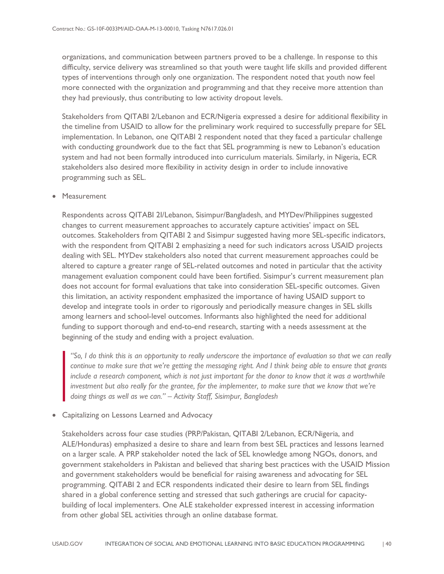organizations, and communication between partners proved to be a challenge. In response to this difficulty, service delivery was streamlined so that youth were taught life skills and provided different types of interventions through only one organization. The respondent noted that youth now feel more connected with the organization and programming and that they receive more attention than they had previously, thus contributing to low activity dropout levels.

Stakeholders from QITABI 2/Lebanon and ECR/Nigeria expressed a desire for additional flexibility in the timeline from USAID to allow for the preliminary work required to successfully prepare for SEL implementation. In Lebanon, one QITABI 2 respondent noted that they faced a particular challenge with conducting groundwork due to the fact that SEL programming is new to Lebanon's education system and had not been formally introduced into curriculum materials. Similarly, in Nigeria, ECR stakeholders also desired more flexibility in activity design in order to include innovative programming such as SEL.

#### • Measurement

Respondents across QITABI 2I/Lebanon, Sisimpur/Bangladesh, and MYDev/Philippines suggested changes to current measurement approaches to accurately capture activities' impact on SEL outcomes. Stakeholders from QITABI 2 and Sisimpur suggested having more SEL-specific indicators, with the respondent from QITABI 2 emphasizing a need for such indicators across USAID projects dealing with SEL. MYDev stakeholders also noted that current measurement approaches could be altered to capture a greater range of SEL-related outcomes and noted in particular that the activity management evaluation component could have been fortified. Sisimpur's current measurement plan does not account for formal evaluations that take into consideration SEL-specific outcomes. Given this limitation, an activity respondent emphasized the importance of having USAID support to develop and integrate tools in order to rigorously and periodically measure changes in SEL skills among learners and school-level outcomes. Informants also highlighted the need for additional funding to support thorough and end-to-end research, starting with a needs assessment at the beginning of the study and ending with a project evaluation.

*"So, I do think this is an opportunity to really underscore the importance of evaluation so that we can really continue to make sure that we're getting the messaging right. And I think being able to ensure that grants include a research component, which is not just important for the donor to know that it was a worthwhile investment but also really for the grantee, for the implementer, to make sure that we know that we're doing things as well as we can." – Activity Staff, Sisimpur, Bangladesh*

• Capitalizing on Lessons Learned and Advocacy

Stakeholders across four case studies (PRP/Pakistan, QITABI 2/Lebanon, ECR/Nigeria, and ALE/Honduras) emphasized a desire to share and learn from best SEL practices and lessons learned on a larger scale. A PRP stakeholder noted the lack of SEL knowledge among NGOs, donors, and government stakeholders in Pakistan and believed that sharing best practices with the USAID Mission and government stakeholders would be beneficial for raising awareness and advocating for SEL programming. QITABI 2 and ECR respondents indicated their desire to learn from SEL findings shared in a global conference setting and stressed that such gatherings are crucial for capacitybuilding of local implementers. One ALE stakeholder expressed interest in accessing information from other global SEL activities through an online database format.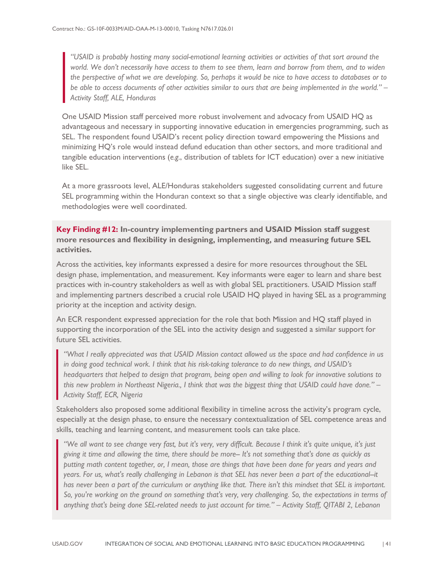*"USAID is probably hosting many social-emotional learning activities or activities of that sort around the world. We don't necessarily have access to them to see them, learn and borrow from them, and to widen the perspective of what we are developing. So, perhaps it would be nice to have access to databases or to be able to access documents of other activities similar to ours that are being implemented in the world." – Activity Staff, ALE, Honduras*

One USAID Mission staff perceived more robust involvement and advocacy from USAID HQ as advantageous and necessary in supporting innovative education in emergencies programming, such as SEL. The respondent found USAID's recent policy direction toward empowering the Missions and minimizing HQ's role would instead defund education than other sectors, and more traditional and tangible education interventions (*e.g.*, distribution of tablets for ICT education) over a new initiative like SEL.

At a more grassroots level, ALE/Honduras stakeholders suggested consolidating current and future SEL programming within the Honduran context so that a single objective was clearly identifiable, and methodologies were well coordinated.

**Key Finding #12: In-country implementing partners and USAID Mission staff suggest more resources and flexibility in designing, implementing, and measuring future SEL activities.**

Across the activities, key informants expressed a desire for more resources throughout the SEL design phase, implementation, and measurement. Key informants were eager to learn and share best practices with in-country stakeholders as well as with global SEL practitioners. USAID Mission staff and implementing partners described a crucial role USAID HQ played in having SEL as a programming priority at the inception and activity design.

An ECR respondent expressed appreciation for the role that both Mission and HQ staff played in supporting the incorporation of the SEL into the activity design and suggested a similar support for future SEL activities.

*"What I really appreciated was that USAID Mission contact allowed us the space and had confidence in us in doing good technical work. I think that his risk-taking tolerance to do new things, and USAID's headquarters that helped to design that program, being open and willing to look for innovative solutions to this new problem in Northeast Nigeria., I think that was the biggest thing that USAID could have done." – Activity Staff, ECR, Nigeria*

Stakeholders also proposed some additional flexibility in timeline across the activity's program cycle, especially at the design phase, to ensure the necessary contextualization of SEL competence areas and skills, teaching and learning content, and measurement tools can take place.

*"We all want to see change very fast, but it's very, very difficult. Because I think it's quite unique, it's just giving it time and allowing the time, there should be more-- It's not something that's done as quickly as putting math content together, or, I mean, those are things that have been done for years and years and years. For us, what's really challenging in Lebanon is that SEL has never been a part of the educational--it has never been a part of the curriculum or anything like that. There isn't this mindset that SEL is important. So, you're working on the ground on something that's very, very challenging. So, the expectations in terms of anything that's being done SEL-related needs to just account for time." – Activity Staff, QITABI 2, Lebanon*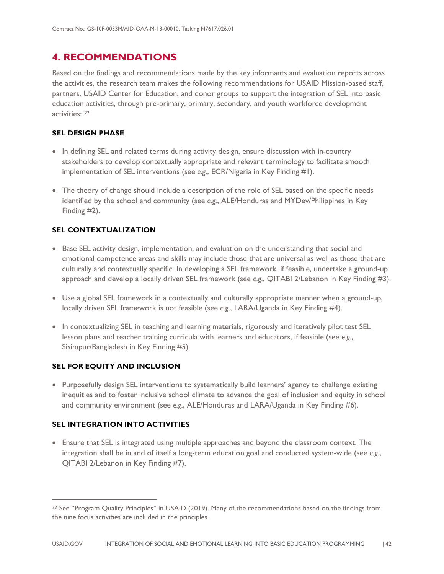### <span id="page-46-0"></span>**4. RECOMMENDATIONS**

Based on the findings and recommendations made by the key informants and evaluation reports across the activities, the research team makes the following recommendations for USAID Mission-based staff, partners, USAID Center for Education, and donor groups to support the integration of SEL into basic education activities, through pre-primary, primary, secondary, and youth workforce development activities: [22](#page-46-1)

### **SEL DESIGN PHASE**

- In defining SEL and related terms during activity design, ensure discussion with in-country stakeholders to develop contextually appropriate and relevant terminology to facilitate smooth implementation of SEL interventions (see *e.g.*, ECR/Nigeria in Key Finding #1).
- The theory of change should include a description of the role of SEL based on the specific needs identified by the school and community (see *e.g.*, ALE/Honduras and MYDev/Philippines in Key Finding #2).

### **SEL CONTEXTUALIZATION**

- Base SEL activity design, implementation, and evaluation on the understanding that social and emotional competence areas and skills may include those that are universal as well as those that are culturally and contextually specific. In developing a SEL framework, if feasible, undertake a ground-up approach and develop a locally driven SEL framework (see *e.g.*, QITABI 2/Lebanon in Key Finding #3).
- Use a global SEL framework in a contextually and culturally appropriate manner when a ground-up, locally driven SEL framework is not feasible (see *e.g.*, LARA/Uganda in Key Finding #4).
- In contextualizing SEL in teaching and learning materials, rigorously and iteratively pilot test SEL lesson plans and teacher training curricula with learners and educators, if feasible (see *e.g.*, Sisimpur/Bangladesh in Key Finding #5).

### **SEL FOR EQUITY AND INCLUSION**

• Purposefully design SEL interventions to systematically build learners' agency to challenge existing inequities and to foster inclusive school climate to advance the goal of inclusion and equity in school and community environment (see *e.g.*, ALE/Honduras and LARA/Uganda in Key Finding #6).

### **SEL INTEGRATION INTO ACTIVITIES**

 $\overline{a}$ 

• Ensure that SEL is integrated using multiple approaches and beyond the classroom context. The integration shall be in and of itself a long-term education goal and conducted system-wide (see *e.g.*, QITABI 2/Lebanon in Key Finding #7).

<span id="page-46-1"></span><sup>22</sup> See "Program Quality Principles" in USAID (2019). Many of the recommendations based on the findings from the nine focus activities are included in the principles.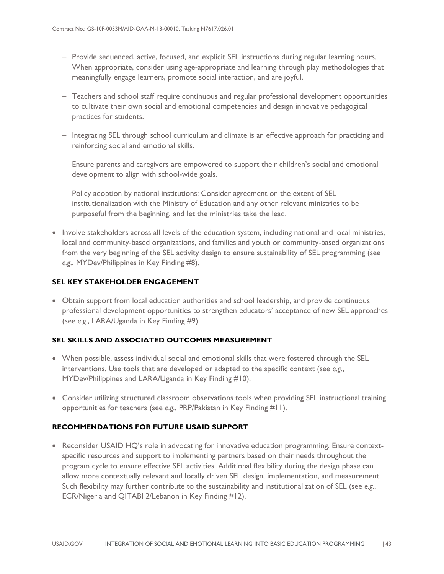- − Provide sequenced, active, focused, and explicit SEL instructions during regular learning hours. When appropriate, consider using age-appropriate and learning through play methodologies that meaningfully engage learners, promote social interaction, and are joyful.
- − Teachers and school staff require continuous and regular professional development opportunities to cultivate their own social and emotional competencies and design innovative pedagogical practices for students.
- − Integrating SEL through school curriculum and climate is an effective approach for practicing and reinforcing social and emotional skills.
- − Ensure parents and caregivers are empowered to support their children's social and emotional development to align with school-wide goals.
- − Policy adoption by national institutions: Consider agreement on the extent of SEL institutionalization with the Ministry of Education and any other relevant ministries to be purposeful from the beginning, and let the ministries take the lead.
- Involve stakeholders across all levels of the education system, including national and local ministries, local and community-based organizations, and families and youth or community-based organizations from the very beginning of the SEL activity design to ensure sustainability of SEL programming (see *e.g.*, MYDev/Philippines in Key Finding #8).

### **SEL KEY STAKEHOLDER ENGAGEMENT**

• Obtain support from local education authorities and school leadership, and provide continuous professional development opportunities to strengthen educators' acceptance of new SEL approaches (see *e.g.*, LARA/Uganda in Key Finding #9).

### **SEL SKILLS AND ASSOCIATED OUTCOMES MEASUREMENT**

- When possible, assess individual social and emotional skills that were fostered through the SEL interventions. Use tools that are developed or adapted to the specific context (see *e.g.*, MYDev/Philippines and LARA/Uganda in Key Finding #10).
- Consider utilizing structured classroom observations tools when providing SEL instructional training opportunities for teachers (see *e.g.*, PRP/Pakistan in Key Finding #11).

### **RECOMMENDATIONS FOR FUTURE USAID SUPPORT**

• Reconsider USAID HQ's role in advocating for innovative education programming. Ensure contextspecific resources and support to implementing partners based on their needs throughout the program cycle to ensure effective SEL activities. Additional flexibility during the design phase can allow more contextually relevant and locally driven SEL design, implementation, and measurement. Such flexibility may further contribute to the sustainability and institutionalization of SEL (see *e.g.*, ECR/Nigeria and QITABI 2/Lebanon in Key Finding #12).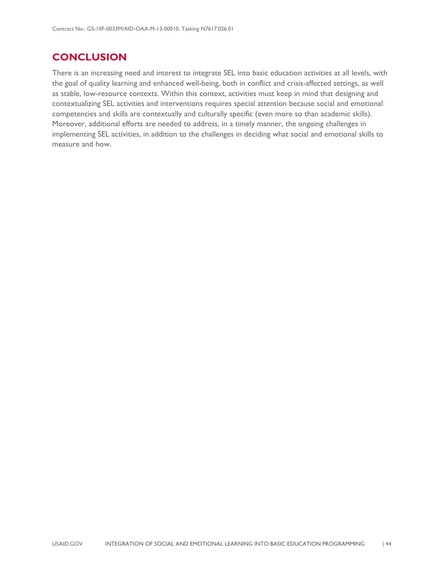### <span id="page-48-0"></span>**CONCLUSION**

There is an increasing need and interest to integrate SEL into basic education activities at all levels, with the goal of quality learning and enhanced well-being, both in conflict and crisis-affected settings, as well as stable, low-resource contexts. Within this context, activities must keep in mind that designing and contextualizing SEL activities and interventions requires special attention because social and emotional competencies and skills are contextually and culturally specific (even more so than academic skills). Moreover, additional efforts are needed to address, in a timely manner, the ongoing challenges in implementing SEL activities, in addition to the challenges in deciding what social and emotional skills to measure and how.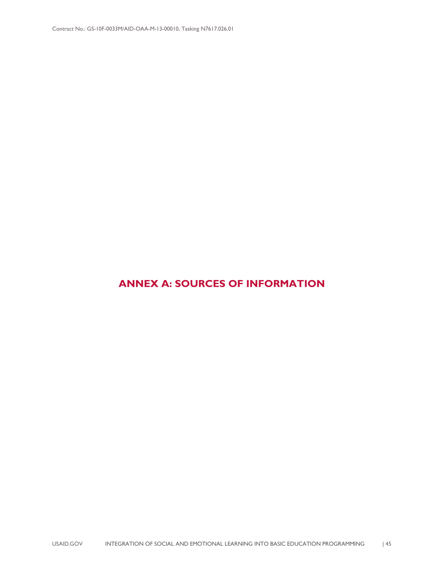### <span id="page-49-0"></span>**ANNEX A: SOURCES OF INFORMATION**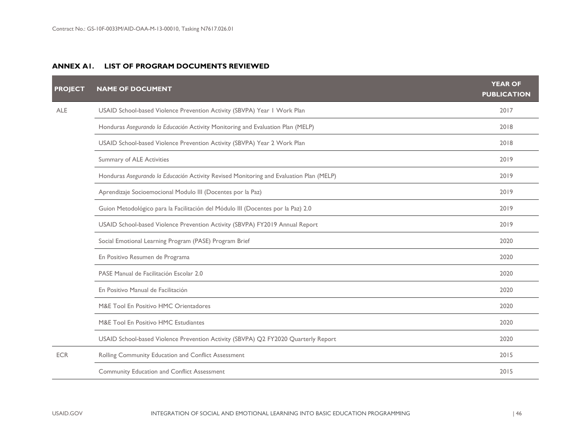### **ANNEX A1. LIST OF PROGRAM DOCUMENTS REVIEWED**

| <b>PROJECT</b> | <b>NAME OF DOCUMENT</b>                                                                 | <b>YEAR OF</b><br><b>PUBLICATION</b> |
|----------------|-----------------------------------------------------------------------------------------|--------------------------------------|
| <b>ALE</b>     | USAID School-based Violence Prevention Activity (SBVPA) Year I Work Plan                | 2017                                 |
|                | Honduras Asegurando la Educación Activity Monitoring and Evaluation Plan (MELP)         | 2018                                 |
|                | USAID School-based Violence Prevention Activity (SBVPA) Year 2 Work Plan                | 2018                                 |
|                | Summary of ALE Activities                                                               | 2019                                 |
|                | Honduras Asegurando la Educación Activity Revised Monitoring and Evaluation Plan (MELP) | 2019                                 |
|                | Aprendizaje Socioemocional Modulo III (Docentes por la Paz)                             | 2019                                 |
|                | Guion Metodológico para la Facilitación del Módulo III (Docentes por la Paz) 2.0        | 2019                                 |
|                | USAID School-based Violence Prevention Activity (SBVPA) FY2019 Annual Report            | 2019                                 |
|                | Social Emotional Learning Program (PASE) Program Brief                                  | 2020                                 |
|                | En Positivo Resumen de Programa                                                         | 2020                                 |
|                | PASE Manual de Facilitación Escolar 2.0                                                 | 2020                                 |
|                | En Positivo Manual de Facilitación                                                      | 2020                                 |
|                | M&E Tool En Positivo HMC Orientadores                                                   | 2020                                 |
|                | M&E Tool En Positivo HMC Estudiantes                                                    | 2020                                 |
|                | USAID School-based Violence Prevention Activity (SBVPA) Q2 FY2020 Quarterly Report      | 2020                                 |
| <b>ECR</b>     | Rolling Community Education and Conflict Assessment                                     | 2015                                 |
|                | <b>Community Education and Conflict Assessment</b>                                      | 2015                                 |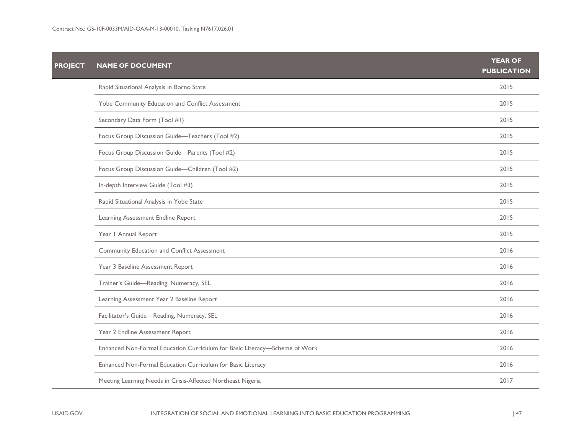| <b>PROJECT</b> | <b>NAME OF DOCUMENT</b>                                                    | <b>YEAR OF</b><br><b>PUBLICATION</b> |
|----------------|----------------------------------------------------------------------------|--------------------------------------|
|                | Rapid Situational Analysis in Borno State                                  | 2015                                 |
|                | Yobe Community Education and Conflict Assessment                           | 2015                                 |
|                | Secondary Data Form (Tool #1)                                              | 2015                                 |
|                | Focus Group Discussion Guide-Teachers (Tool #2)                            | 2015                                 |
|                | Focus Group Discussion Guide-Parents (Tool #2)                             | 2015                                 |
|                | Focus Group Discussion Guide-Children (Tool #2)                            | 2015                                 |
|                | In-depth Interview Guide (Tool #3)                                         | 2015                                 |
|                | Rapid Situational Analysis in Yobe State                                   | 2015                                 |
|                | Learning Assessment Endline Report                                         | 2015                                 |
|                | Year   Annual Report                                                       | 2015                                 |
|                | Community Education and Conflict Assessment                                | 2016                                 |
|                | Year 3 Baseline Assessment Report                                          | 2016                                 |
|                | Trainer's Guide-Reading, Numeracy, SEL                                     | 2016                                 |
|                | Learning Assessment Year 2 Baseline Report                                 | 2016                                 |
|                | Facilitator's Guide-Reading, Numeracy, SEL                                 | 2016                                 |
|                | Year 2 Endline Assessment Report                                           | 2016                                 |
|                | Enhanced Non-Formal Education Curriculum for Basic Literacy-Scheme of Work | 2016                                 |
|                | Enhanced Non-Formal Education Curriculum for Basic Literacy                | 2016                                 |
|                | Meeting Learning Needs in Crisis-Affected Northeast Nigeria                | 2017                                 |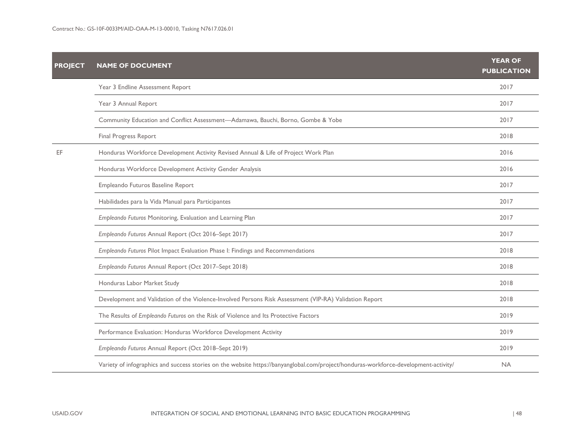| <b>PROJECT</b> | <b>NAME OF DOCUMENT</b>                                                                                                              | <b>YEAR OF</b><br><b>PUBLICATION</b> |
|----------------|--------------------------------------------------------------------------------------------------------------------------------------|--------------------------------------|
|                | Year 3 Endline Assessment Report                                                                                                     | 2017                                 |
|                | Year 3 Annual Report                                                                                                                 | 2017                                 |
|                | Community Education and Conflict Assessment-Adamawa, Bauchi, Borno, Gombe & Yobe                                                     | 2017                                 |
|                | Final Progress Report                                                                                                                | 2018                                 |
| EF             | Honduras Workforce Development Activity Revised Annual & Life of Project Work Plan                                                   | 2016                                 |
|                | Honduras Workforce Development Activity Gender Analysis                                                                              | 2016                                 |
|                | Empleando Futuros Baseline Report                                                                                                    | 2017                                 |
|                | Habilidades para la Vida Manual para Participantes                                                                                   | 2017                                 |
|                | Empleando Futuros Monitoring, Evaluation and Learning Plan                                                                           | 2017                                 |
|                | Empleando Futuros Annual Report (Oct 2016-Sept 2017)                                                                                 | 2017                                 |
|                | Empleando Futuros Pilot Impact Evaluation Phase I: Findings and Recommendations                                                      | 2018                                 |
|                | Empleando Futuros Annual Report (Oct 2017-Sept 2018)                                                                                 | 2018                                 |
|                | Honduras Labor Market Study                                                                                                          | 2018                                 |
|                | Development and Validation of the Violence-Involved Persons Risk Assessment (VIP-RA) Validation Report                               | 2018                                 |
|                | The Results of Empleando Futuros on the Risk of Violence and Its Protective Factors                                                  | 2019                                 |
|                | Performance Evaluation: Honduras Workforce Development Activity                                                                      | 2019                                 |
|                | Empleando Futuros Annual Report (Oct 2018-Sept 2019)                                                                                 | 2019                                 |
|                | Variety of infographics and success stories on the website https://banyanglobal.com/project/honduras-workforce-development-activity/ | <b>NA</b>                            |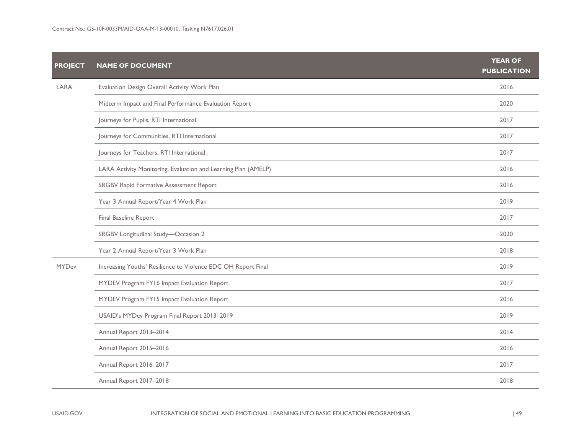| <b>PROJECT</b> | <b>NAME OF DOCUMENT</b>                                        | <b>YEAR OF</b><br><b>PUBLICATION</b> |
|----------------|----------------------------------------------------------------|--------------------------------------|
| LARA           | Evaluation Design Overall Activity Work Plan                   | 2016                                 |
|                | Midterm Impact and Final Performance Evaluation Report         | 2020                                 |
|                | Journeys for Pupils, RTI International                         | 2017                                 |
|                | Journeys for Communities, RTI International                    | 2017                                 |
|                | Journeys for Teachers, RTI International                       | 2017                                 |
|                | LARA Activity Monitoring, Evaluation and Learning Plan (AMELP) | 2016                                 |
|                | SRGBV Rapid Formative Assessment Report                        | 2016                                 |
|                | Year 3 Annual Report/Year 4 Work Plan                          | 2019                                 |
|                | Final Baseline Report                                          | 2017                                 |
|                | SRGBV Longitudinal Study-Occasion 2                            | 2020                                 |
|                | Year 2 Annual Report/Year 3 Work Plan                          | 2018                                 |
| <b>MYDev</b>   | Increasing Youths' Resilience to Violence EDC OH Report Final  | 2019                                 |
|                | MYDEV Program FY16 Impact Evaluation Report                    | 2017                                 |
|                | MYDEV Program FY15 Impact Evaluation Report                    | 2016                                 |
|                | USAID's MYDev Program Final Report 2013-2019                   | 2019                                 |
|                | Annual Report 2013-2014                                        | 2014                                 |
|                | Annual Report 2015-2016                                        | 2016                                 |
|                | Annual Report 2016-2017                                        | 2017                                 |
|                | Annual Report 2017-2018                                        | 2018                                 |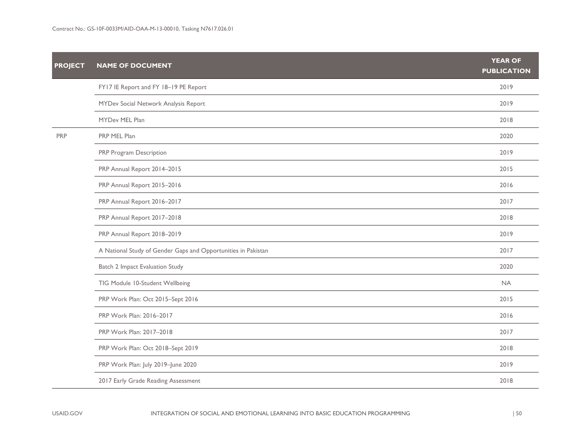| <b>PROJECT</b> | <b>NAME OF DOCUMENT</b>                                       | <b>YEAR OF</b><br><b>PUBLICATION</b> |
|----------------|---------------------------------------------------------------|--------------------------------------|
|                | FY17 IE Report and FY 18-19 PE Report                         | 2019                                 |
|                | MYDev Social Network Analysis Report                          | 2019                                 |
|                | MYDev MEL Plan                                                | 2018                                 |
| <b>PRP</b>     | PRP MEL Plan                                                  | 2020                                 |
|                | PRP Program Description                                       | 2019                                 |
|                | PRP Annual Report 2014-2015                                   | 2015                                 |
|                | PRP Annual Report 2015-2016                                   | 2016                                 |
|                | PRP Annual Report 2016-2017                                   | 2017                                 |
|                | PRP Annual Report 2017-2018                                   | 2018                                 |
|                | PRP Annual Report 2018-2019                                   | 2019                                 |
|                | A National Study of Gender Gaps and Opportunities in Pakistan | 2017                                 |
|                | Batch 2 Impact Evaluation Study                               | 2020                                 |
|                | TIG Module 10-Student Wellbeing                               | <b>NA</b>                            |
|                | PRP Work Plan: Oct 2015-Sept 2016                             | 2015                                 |
|                | PRP Work Plan: 2016-2017                                      | 2016                                 |
|                | PRP Work Plan: 2017-2018                                      | 2017                                 |
|                | PRP Work Plan: Oct 2018-Sept 2019                             | 2018                                 |
|                | PRP Work Plan: July 2019-June 2020                            | 2019                                 |
|                | 2017 Early Grade Reading Assessment                           | 2018                                 |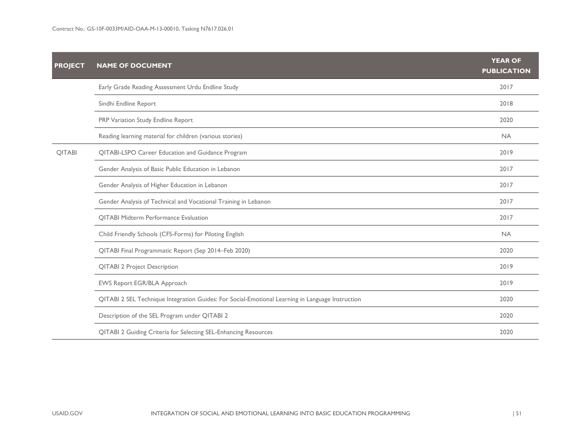| <b>PROJECT</b> | <b>NAME OF DOCUMENT</b>                                                                          | <b>YEAR OF</b><br><b>PUBLICATION</b> |
|----------------|--------------------------------------------------------------------------------------------------|--------------------------------------|
|                | Early Grade Reading Assessment Urdu Endline Study                                                | 2017                                 |
|                | Sindhi Endline Report                                                                            | 2018                                 |
|                | PRP Variation Study Endline Report                                                               | 2020                                 |
|                | Reading learning material for children (various stories)                                         | <b>NA</b>                            |
| QITABI         | QITABI-LSPO Career Education and Guidance Program                                                | 2019                                 |
|                | Gender Analysis of Basic Public Education in Lebanon                                             | 2017                                 |
|                | Gender Analysis of Higher Education in Lebanon                                                   | 2017                                 |
|                | Gender Analysis of Technical and Vocational Training in Lebanon                                  | 2017                                 |
|                | <b>QITABI Midterm Performance Evaluation</b>                                                     | 2017                                 |
|                | Child Friendly Schools (CFS-Forms) for Piloting English                                          | <b>NA</b>                            |
|                | QITABI Final Programmatic Report (Sep 2014-Feb 2020)                                             | 2020                                 |
|                | <b>QITABI 2 Project Description</b>                                                              | 2019                                 |
|                | EWS Report EGR/BLA Approach                                                                      | 2019                                 |
|                | QITABI 2 SEL Technique Integration Guides: For Social-Emotional Learning in Language Instruction | 2020                                 |
|                | Description of the SEL Program under QITABI 2                                                    | 2020                                 |
|                | QITABI 2 Guiding Criteria for Selecting SEL-Enhancing Resources                                  | 2020                                 |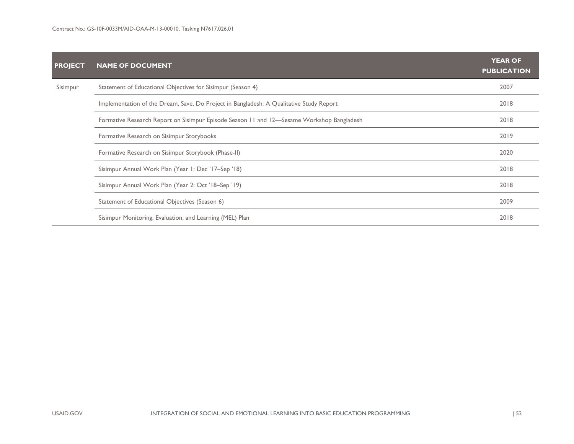| <b>PROJECT</b> | <b>NAME OF DOCUMENT</b>                                                                   | <b>YEAR OF</b><br><b>PUBLICATION</b> |  |  |  |
|----------------|-------------------------------------------------------------------------------------------|--------------------------------------|--|--|--|
| Sisimpur       | Statement of Educational Objectives for Sisimpur (Season 4)                               | 2007                                 |  |  |  |
|                | Implementation of the Dream, Save, Do Project in Bangladesh: A Qualitative Study Report   | 2018                                 |  |  |  |
|                | Formative Research Report on Sisimpur Episode Season 11 and 12—Sesame Workshop Bangladesh |                                      |  |  |  |
|                | Formative Research on Sisimpur Storybooks                                                 | 2019                                 |  |  |  |
|                | Formative Research on Sisimpur Storybook (Phase-II)                                       | 2020                                 |  |  |  |
|                | Sisimpur Annual Work Plan (Year 1: Dec '17-Sep '18)                                       | 2018                                 |  |  |  |
|                | Sisimpur Annual Work Plan (Year 2: Oct '18–Sep '19)                                       | 2018                                 |  |  |  |
|                | Statement of Educational Objectives (Season 6)                                            | 2009                                 |  |  |  |
|                | Sisimpur Monitoring, Evaluation, and Learning (MEL) Plan                                  | 2018                                 |  |  |  |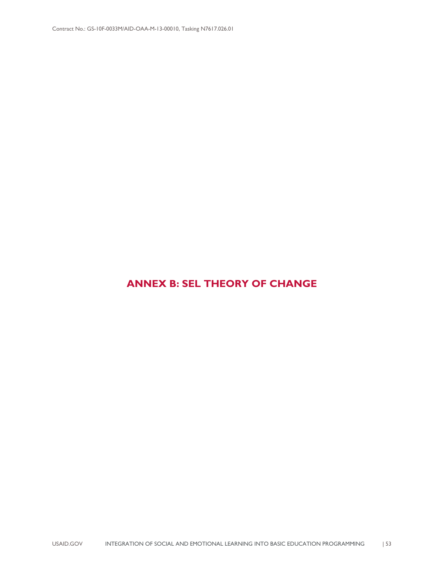### <span id="page-57-0"></span>**ANNEX B: SEL THEORY OF CHANGE**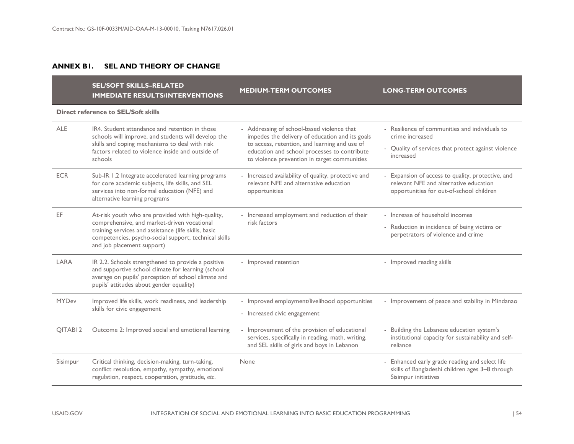### **ANNEX B1. SEL AND THEORY OF CHANGE**

|                     | <b>SEL/SOFT SKILLS-RELATED</b><br><b>IMMEDIATE RESULTS/INTERVENTIONS</b>                                                                                                                                                                        | <b>MEDIUM-TERM OUTCOMES</b>                                                                                                                                                                                                                    | <b>LONG-TERM OUTCOMES</b>                                                                                                               |  |  |  |  |  |  |
|---------------------|-------------------------------------------------------------------------------------------------------------------------------------------------------------------------------------------------------------------------------------------------|------------------------------------------------------------------------------------------------------------------------------------------------------------------------------------------------------------------------------------------------|-----------------------------------------------------------------------------------------------------------------------------------------|--|--|--|--|--|--|
|                     | <b>Direct reference to SEL/Soft skills</b>                                                                                                                                                                                                      |                                                                                                                                                                                                                                                |                                                                                                                                         |  |  |  |  |  |  |
| <b>ALE</b>          | IR4. Student attendance and retention in those<br>schools will improve, and students will develop the<br>skills and coping mechanisms to deal with risk<br>factors related to violence inside and outside of<br>schools                         | - Addressing of school-based violence that<br>impedes the delivery of education and its goals<br>to access, retention, and learning and use of<br>education and school processes to contribute<br>to violence prevention in target communities | - Resilience of communities and individuals to<br>crime increased<br>- Quality of services that protect against violence<br>increased   |  |  |  |  |  |  |
| <b>ECR</b>          | Sub-IR 1.2 Integrate accelerated learning programs<br>for core academic subjects, life skills, and SEL<br>services into non-formal education (NFE) and<br>alternative learning programs                                                         | - Increased availability of quality, protective and<br>relevant NFE and alternative education<br>opportunities                                                                                                                                 | - Expansion of access to quality, protective, and<br>relevant NFE and alternative education<br>opportunities for out-of-school children |  |  |  |  |  |  |
| EF.                 | At-risk youth who are provided with high-quality,<br>comprehensive, and market-driven vocational<br>training services and assistance (life skills, basic<br>competencies, psycho-social support, technical skills<br>and job placement support) | - Increased employment and reduction of their<br>risk factors                                                                                                                                                                                  | - Increase of household incomes<br>- Reduction in incidence of being victims or<br>perpetrators of violence and crime                   |  |  |  |  |  |  |
| LARA                | IR 2.2. Schools strengthened to provide a positive<br>and supportive school climate for learning (school<br>average on pupils' perception of school climate and<br>pupils' attitudes about gender equality)                                     | - Improved retention                                                                                                                                                                                                                           | - Improved reading skills                                                                                                               |  |  |  |  |  |  |
| <b>MYDev</b>        | Improved life skills, work readiness, and leadership<br>skills for civic engagement                                                                                                                                                             | - Improved employment/livelihood opportunities<br>- Increased civic engagement                                                                                                                                                                 | - Improvement of peace and stability in Mindanao                                                                                        |  |  |  |  |  |  |
| OITABI <sub>2</sub> | Outcome 2: Improved social and emotional learning                                                                                                                                                                                               | - Improvement of the provision of educational<br>services, specifically in reading, math, writing,<br>and SEL skills of girls and boys in Lebanon                                                                                              | - Building the Lebanese education system's<br>institutional capacity for sustainability and self-<br>reliance                           |  |  |  |  |  |  |
| Sisimpur            | Critical thinking, decision-making, turn-taking,<br>conflict resolution, empathy, sympathy, emotional<br>regulation, respect, cooperation, gratitude, etc.                                                                                      | None                                                                                                                                                                                                                                           | - Enhanced early grade reading and select life<br>skills of Bangladeshi children ages 3-8 through<br>Sisimpur initiatives               |  |  |  |  |  |  |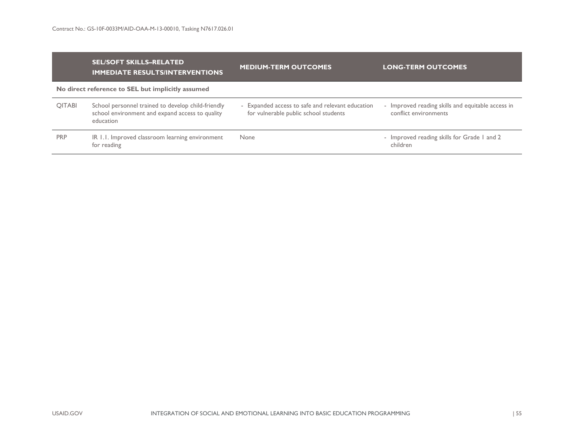|               | <b>SEL/SOFT SKILLS-RELATED</b><br><b>IMMEDIATE RESULTS/INTERVENTIONS</b>                                           | <b>MEDIUM-TERM OUTCOMES</b>                                                               | <b>LONG-TERM OUTCOMES</b>                                                  |
|---------------|--------------------------------------------------------------------------------------------------------------------|-------------------------------------------------------------------------------------------|----------------------------------------------------------------------------|
|               | No direct reference to SEL but implicitly assumed                                                                  |                                                                                           |                                                                            |
| <b>QITABI</b> | School personnel trained to develop child-friendly<br>school environment and expand access to quality<br>education | - Expanded access to safe and relevant education<br>for vulnerable public school students | - Improved reading skills and equitable access in<br>conflict environments |
| <b>PRP</b>    | IR 1.1. Improved classroom learning environment<br>for reading                                                     | None                                                                                      | - Improved reading skills for Grade I and 2<br>children                    |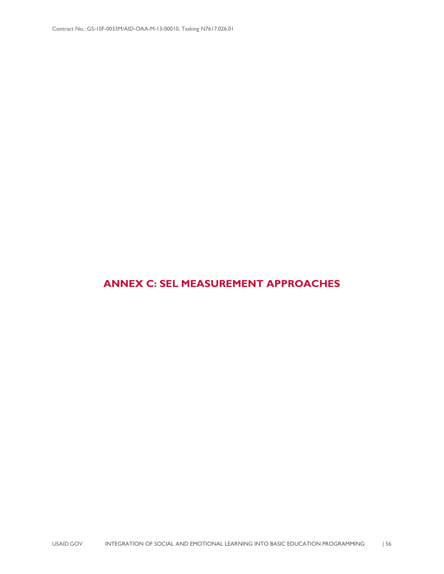### <span id="page-60-0"></span>**ANNEX C: SEL MEASUREMENT APPROACHES**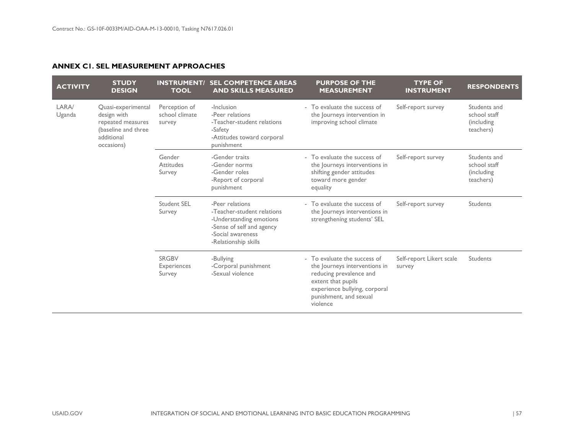### **ANNEX C1. SEL MEASUREMENT APPROACHES**

| <b>ACTIVITY</b> | <b>STUDY</b><br><b>DESIGN</b>                                                                             | <b>INSTRUMENT/</b><br><b>TOOL</b>         | <b>SEL COMPETENCE AREAS</b><br><b>AND SKILLS MEASURED</b>                                                                                          | <b>PURPOSE OF THE</b><br><b>MEASUREMENT</b>                                                                                                                                           | <b>TYPE OF</b><br><b>INSTRUMENT</b> | <b>RESPONDENTS</b>                                      |
|-----------------|-----------------------------------------------------------------------------------------------------------|-------------------------------------------|----------------------------------------------------------------------------------------------------------------------------------------------------|---------------------------------------------------------------------------------------------------------------------------------------------------------------------------------------|-------------------------------------|---------------------------------------------------------|
| LARA/<br>Uganda | Quasi-experimental<br>design with<br>repeated measures<br>(baseline and three<br>additional<br>occasions) | Perception of<br>school climate<br>survey | -Inclusion<br>-Peer relations<br>-Teacher-student relations<br>-Safety<br>-Attitudes toward corporal<br>punishment                                 | - To evaluate the success of<br>the Journeys intervention in<br>improving school climate                                                                                              | Self-report survey                  | Students and<br>school staff<br>(including<br>teachers) |
|                 |                                                                                                           | Gender<br><b>Attitudes</b><br>Survey      | -Gender traits<br>-Gender norms<br>-Gender roles<br>-Report of corporal<br>punishment                                                              | - To evaluate the success of<br>the Journeys interventions in<br>shifting gender attitudes<br>toward more gender<br>equality                                                          | Self-report survey                  | Students and<br>school staff<br>(including<br>teachers) |
|                 |                                                                                                           | <b>Student SEL</b><br>Survey              | -Peer relations<br>-Teacher-student relations<br>-Understanding emotions<br>-Sense of self and agency<br>-Social awareness<br>-Relationship skills | - To evaluate the success of<br>the Journeys interventions in<br>strengthening students' SEL                                                                                          | Self-report survey                  | Students                                                |
|                 |                                                                                                           | <b>SRGBV</b><br>Experiences<br>Survey     | -Bullying<br>-Corporal punishment<br>-Sexual violence                                                                                              | - To evaluate the success of<br>the Journeys interventions in<br>reducing prevalence and<br>extent that pupils<br>experience bullying, corporal<br>punishment, and sexual<br>violence | Self-report Likert scale<br>survey  | Students                                                |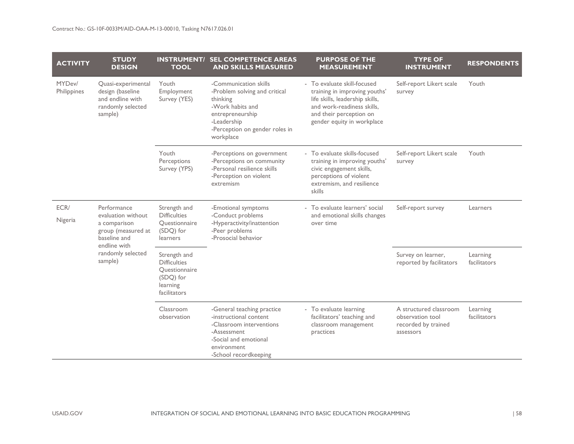| <b>ACTIVITY</b>       | <b>STUDY</b><br><b>DESIGN</b>                                                                                                           | <b>TOOL</b>                                                                                   | <b>INSTRUMENT/ SEL COMPETENCE AREAS</b><br><b>AND SKILLS MEASURED</b>                                                                                                    | <b>PURPOSE OF THE</b><br><b>MEASUREMENT</b>                                                                                                                                            | <b>TYPE OF</b><br><b>INSTRUMENT</b>                                            | <b>RESPONDENTS</b>       |
|-----------------------|-----------------------------------------------------------------------------------------------------------------------------------------|-----------------------------------------------------------------------------------------------|--------------------------------------------------------------------------------------------------------------------------------------------------------------------------|----------------------------------------------------------------------------------------------------------------------------------------------------------------------------------------|--------------------------------------------------------------------------------|--------------------------|
| MYDev/<br>Philippines | Quasi-experimental<br>design (baseline<br>and endline with<br>randomly selected<br>sample)                                              | Youth<br>Employment<br>Survey (YES)                                                           | -Communication skills<br>-Problem solving and critical<br>thinking<br>-Work habits and<br>entrepreneurship<br>-Leadership<br>-Perception on gender roles in<br>workplace | - To evaluate skill-focused<br>training in improving youths'<br>life skills, leadership skills,<br>and work-readiness skills,<br>and their perception on<br>gender equity in workplace | Self-report Likert scale<br>survey                                             | Youth                    |
|                       |                                                                                                                                         | Youth<br>Perceptions<br>Survey (YPS)                                                          | -Perceptions on government<br>-Perceptions on community<br>-Personal resilience skills<br>-Perception on violent<br>extremism                                            | - To evaluate skills-focused<br>training in improving youths'<br>civic engagement skills,<br>perceptions of violent<br>extremism, and resilience<br>skills                             | Self-report Likert scale<br>survey                                             | Youth                    |
| ECR/<br>Nigeria       | Performance<br>evaluation without<br>a comparison<br>group (measured at<br>baseline and<br>endline with<br>randomly selected<br>sample) | Strength and<br><b>Difficulties</b><br>Questionnaire<br>(SDQ) for<br>learners                 | -Emotional symptoms<br>-Conduct problems<br>-Hyperactivity/inattention<br>-Peer problems<br>-Prosocial behavior                                                          | - To evaluate learners' social<br>and emotional skills changes<br>over time                                                                                                            | Self-report survey                                                             | Learners                 |
|                       |                                                                                                                                         | Strength and<br><b>Difficulties</b><br>Questionnaire<br>(SDQ) for<br>learning<br>facilitators |                                                                                                                                                                          |                                                                                                                                                                                        | Survey on learner,<br>reported by facilitators                                 | Learning<br>facilitators |
|                       |                                                                                                                                         | Classroom<br>observation                                                                      | -General teaching practice<br>-instructional content<br>-Classroom interventions<br>-Assessment<br>-Social and emotional<br>environment<br>-School recordkeeping         | - To evaluate learning<br>facilitators' teaching and<br>classroom management<br>practices                                                                                              | A structured classroom<br>observation tool<br>recorded by trained<br>assessors | Learning<br>facilitators |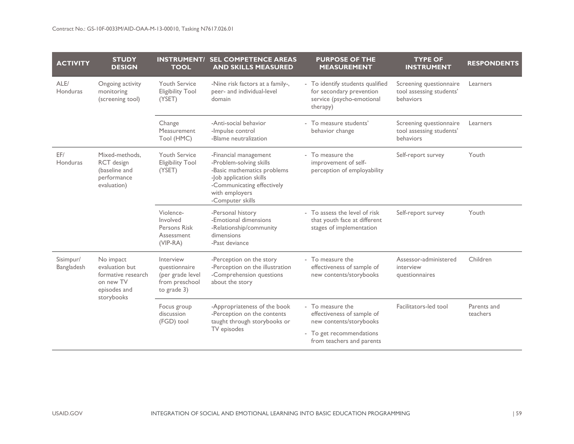| <b>ACTIVITY</b>         | <b>STUDY</b><br><b>DESIGN</b>                                                                | <b>TOOL</b>                                                                     | <b>INSTRUMENT/ SEL COMPETENCE AREAS</b><br><b>AND SKILLS MEASURED</b>                                                                                                          | <b>PURPOSE OF THE</b><br><b>MEASUREMENT</b>                                                                                        | <b>TYPE OF</b><br><b>INSTRUMENT</b>                              | <b>RESPONDENTS</b>      |
|-------------------------|----------------------------------------------------------------------------------------------|---------------------------------------------------------------------------------|--------------------------------------------------------------------------------------------------------------------------------------------------------------------------------|------------------------------------------------------------------------------------------------------------------------------------|------------------------------------------------------------------|-------------------------|
| ALE/<br>Honduras        | Ongoing activity<br>monitoring<br>(screening tool)                                           | <b>Youth Service</b><br><b>Eligibility Tool</b><br>(YSET)                       | -Nine risk factors at a family-,<br>peer- and individual-level<br>domain                                                                                                       | - To identify students qualified<br>for secondary prevention<br>service (psycho-emotional<br>therapy)                              | Screening questionnaire<br>tool assessing students'<br>behaviors | Learners                |
|                         |                                                                                              | Change<br>Measurement<br>Tool (HMC)                                             | -Anti-social behavior<br>-Impulse control<br>-Blame neutralization                                                                                                             | - To measure students'<br>behavior change                                                                                          | Screening questionnaire<br>tool assessing students'<br>behaviors | Learners                |
| EF/<br>Honduras         | Mixed-methods,<br>RCT design<br>(baseline and<br>performance<br>evaluation)                  | <b>Youth Service</b><br><b>Eligibility Tool</b><br>(YSET)                       | -Financial management<br>-Problem-solving skills<br>-Basic mathematics problems<br>-Job application skills<br>-Communicating effectively<br>with employers<br>-Computer skills | - To measure the<br>improvement of self-<br>perception of employability                                                            | Self-report survey                                               | Youth                   |
|                         |                                                                                              | Violence-<br>Involved<br>Persons Risk<br>Assessment<br>(VIP-RA)                 | -Personal history<br>-Emotional dimensions<br>-Relationship/community<br>dimensions<br>-Past deviance                                                                          | - To assess the level of risk<br>that youth face at different<br>stages of implementation                                          | Self-report survey                                               | Youth                   |
| Sisimpur/<br>Bangladesh | No impact<br>evaluation but<br>formative research<br>on new TV<br>episodes and<br>storybooks | Interview<br>questionnaire<br>(per grade level<br>from preschool<br>to grade 3) | -Perception on the story<br>-Perception on the illustration<br>-Comprehension questions<br>about the story                                                                     | - To measure the<br>effectiveness of sample of<br>new contents/storybooks                                                          | Assessor-administered<br>interview<br>questionnaires             | Children                |
|                         |                                                                                              | Focus group<br>discussion<br>(FGD) tool                                         | -Appropriateness of the book<br>-Perception on the contents<br>taught through storybooks or<br>TV episodes                                                                     | - To measure the<br>effectiveness of sample of<br>new contents/storybooks<br>- To get recommendations<br>from teachers and parents | Facilitators-led tool                                            | Parents and<br>teachers |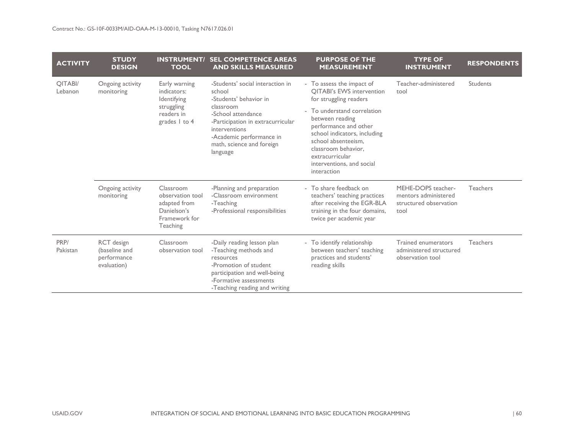| <b>ACTIVITY</b>           | <b>STUDY</b><br><b>DESIGN</b>                             | <b>INSTRUMENT/</b><br><b>TOOL</b>                                                         | <b>SEL COMPETENCE AREAS</b><br><b>AND SKILLS MEASURED</b>                                                                                                                                                                          | <b>PURPOSE OF THE</b><br><b>MEASUREMENT</b>                                                                                                                                                                          | <b>TYPE OF</b><br><b>INSTRUMENT</b>                                          | <b>RESPONDENTS</b> |
|---------------------------|-----------------------------------------------------------|-------------------------------------------------------------------------------------------|------------------------------------------------------------------------------------------------------------------------------------------------------------------------------------------------------------------------------------|----------------------------------------------------------------------------------------------------------------------------------------------------------------------------------------------------------------------|------------------------------------------------------------------------------|--------------------|
| <b>QITABI/</b><br>Lebanon | Ongoing activity<br>monitoring                            | Early warning<br>indicators:<br>Identifying                                               | -Students' social interaction in<br>school<br>-Students' behavior in<br>classroom<br>-School attendance<br>-Participation in extracurricular<br>interventions<br>-Academic performance in<br>math, science and foreign<br>language | - To assess the impact of<br><b>OITABI's EWS intervention</b><br>for struggling readers                                                                                                                              | Teacher-administered<br>tool                                                 | Students           |
|                           |                                                           | struggling<br>readers in<br>grades 1 to 4                                                 |                                                                                                                                                                                                                                    | - To understand correlation<br>between reading<br>performance and other<br>school indicators, including<br>school absenteeism.<br>classroom behavior,<br>extracurricular<br>interventions, and social<br>interaction |                                                                              |                    |
|                           | Ongoing activity<br>monitoring                            | Classroom<br>observation tool<br>adapted from<br>Danielson's<br>Framework for<br>Teaching | -Planning and preparation<br>-Classroom environment<br>-Teaching<br>-Professional responsibilities                                                                                                                                 | - To share feedback on<br>teachers' teaching practices<br>after receiving the EGR-BLA<br>training in the four domains,<br>twice per academic year                                                                    | MEHE-DOPS teacher-<br>mentors administered<br>structured observation<br>tool | <b>Teachers</b>    |
| PRP/<br>Pakistan          | RCT design<br>(baseline and<br>performance<br>evaluation) | Classroom<br>observation tool                                                             | -Daily reading lesson plan<br>-Teaching methods and<br>resources<br>-Promotion of student<br>participation and well-being<br>-Formative assessments<br>-Teaching reading and writing                                               | - To identify relationship<br>between teachers' teaching<br>practices and students'<br>reading skills                                                                                                                | Trained enumerators<br>administered structured<br>observation tool           | <b>Teachers</b>    |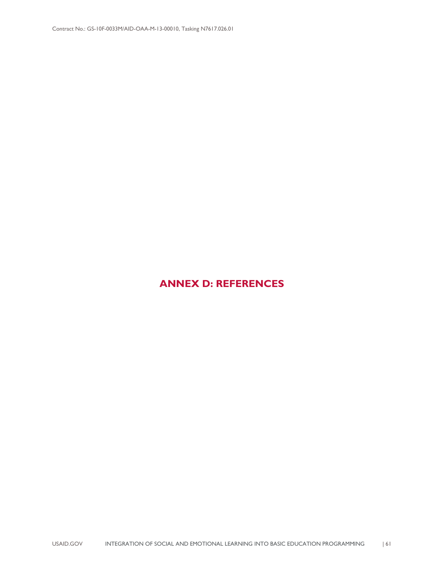### <span id="page-65-0"></span>**ANNEX D: REFERENCES**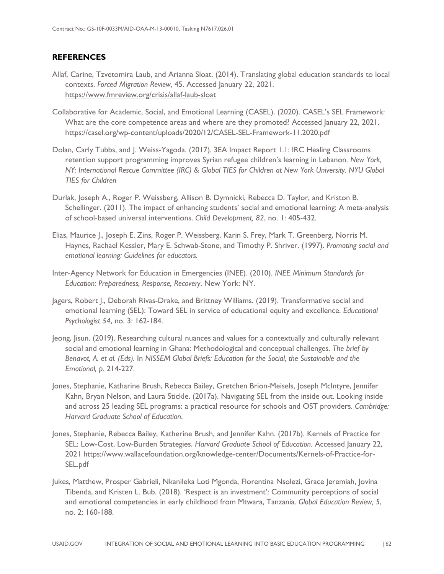### **REFERENCES**

- Allaf, Carine, Tzvetomira Laub, and Arianna Sloat. (2014). Translating global education standards to local contexts. *Forced Migration Review,* 45. Accessed January 22, 2021. <https://www.fmreview.org/crisis/allaf-laub-sloat>
- Collaborative for Academic, Social, and Emotional Learning (CASEL). (2020). CASEL's SEL Framework: What are the core competence areas and where are they promoted? Accessed January 22, 2021. https://casel.org/wp-content/uploads/2020/12/CASEL-SEL-Framework-11.2020.pdf
- Dolan, Carly Tubbs, and J. Weiss-Yagoda. (2017)*.* 3EA Impact Report 1.1: IRC Healing Classrooms retention support programming improves Syrian refugee children's learning in Lebanon. *New York, NY: International Rescue Committee (IRC) & Global TIES for Children at New York University. NYU Global TIES for Children*
- Durlak, Joseph A., Roger P. Weissberg, Allison B. Dymnicki, Rebecca D. Taylor, and Kriston B. Schellinger. (2011). The impact of enhancing students' social and emotional learning: A meta-analysis of school‐based universal interventions. *Child Development, 82*, no. 1: 405-432.
- Elias, Maurice J., Joseph E. Zins, Roger P. Weissberg, Karin S. Frey, Mark T. Greenberg, Norris M. Haynes, Rachael Kessler, Mary E. Schwab-Stone, and Timothy P. Shriver. (1997). *Promoting social and emotional learning: Guidelines for educators.*
- Inter-Agency Network for Education in Emergencies (INEE). (2010). *INEE Minimum Standards for Education: Preparedness, Response, Recovery*. New York: NY.
- Jagers, Robert J., Deborah Rivas-Drake, and Brittney Williams. (2019). Transformative social and emotional learning (SEL): Toward SEL in service of educational equity and excellence. *Educational Psychologist 54*, no. 3: 162-184.
- Jeong, Jisun. (2019). Researching cultural nuances and values for a contextually and culturally relevant social and emotional learning in Ghana: Methodological and conceptual challenges. *The brief by Benavot, A. et al. (Eds).* In *NISSEM Global Briefs: Education for the Social, the Sustainable and the Emotional, p.* 214-227.
- Jones, Stephanie, Katharine Brush, Rebecca Bailey, Gretchen Brion-Meisels, Joseph McIntyre, Jennifer Kahn, Bryan Nelson, and Laura Stickle. (2017a). Navigating SEL from the inside out. Looking inside and across 25 leading SEL programs: a practical resource for schools and OST providers. *Cambridge: Harvard Graduate School of Education*.
- Jones, Stephanie, Rebecca Bailey, Katherine Brush, and Jennifer Kahn. (2017b). Kernels of Practice for SEL: Low-Cost, Low-Burden Strategies. *Harvard Graduate School of Education*. Accessed January 22, 2021 https://www.wallacefoundation.org/knowledge-center/Documents/Kernels-of-Practice-for-SEL.pdf
- Jukes, Matthew, Prosper Gabrieli, Nkanileka Loti Mgonda, Florentina Nsolezi, Grace Jeremiah, Jovina Tibenda, and Kristen L. Bub. (2018). 'Respect is an investment': Community perceptions of social and emotional competencies in early childhood from Mtwara, Tanzania. *Global Education Review, 5*, no. 2: 160-188.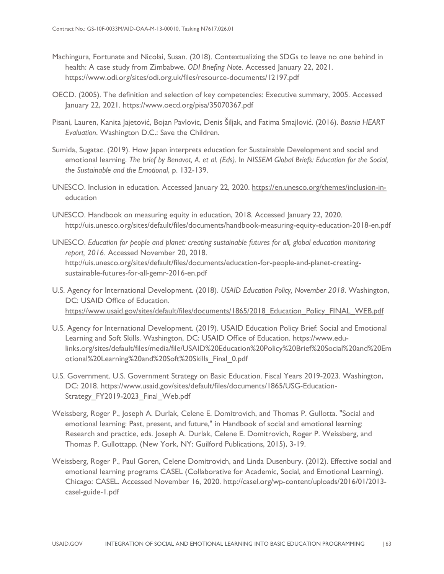- Machingura, Fortunate and Nicolai, Susan. (2018). Contextualizing the SDGs to leave no one behind in health: A case study from Zimbabwe. *ODI Briefing Note*. Accessed January 22, 2021. <https://www.odi.org/sites/odi.org.uk/files/resource-documents/12197.pdf>
- OECD. (2005). The definition and selection of key competencies: Executive summary, 2005. Accessed January 22, 2021. https://www.oecd.org/pisa/35070367.pdf
- Pisani, Lauren, Kanita Jajetović, Bojan Pavlovic, Denis Šiljak, and Fatima Smajlović. (2016). *Bosnia HEART Evaluation*. Washington D.C.: Save the Children.
- Sumida, Sugatac. (2019). How Japan interprets education for Sustainable Development and social and emotional learning. *The brief by Benavot, A. et al. (Eds).* In *NISSEM Global Briefs: Education for the Social, the Sustainable and the Emotional*, p. 132-139.
- UNESCO. Inclusion in education. Accessed January 22, 2020. [https://en.unesco.org/themes/inclusion-in](https://en.unesco.org/themes/inclusion-in-education)[education](https://en.unesco.org/themes/inclusion-in-education)
- UNESCO. Handbook on measuring equity in education, 2018. Accessed January 22, 2020. http://uis.unesco.org/sites/default/files/documents/handbook-measuring-equity-education-2018-en.pdf
- UNESCO. *Education for people and planet: creating sustainable futures for all, global education monitoring report, 2016*. Accessed November 20, 2018. http://uis.unesco.org/sites/default/files/documents/education-for-people-and-planet-creatingsustainable-futures-for-all-gemr-2016-en.pdf
- U.S. Agency for International Development. (2018). *USAID Education Policy, November 2018*. Washington, DC: USAID Office of Education. https://www.usaid.gov/sites/default/files/documents/1865/2018\_Education\_Policy\_FINAL\_WEB.pdf
- U.S. Agency for International Development. (2019). USAID Education Policy Brief: Social and Emotional Learning and Soft Skills. Washington, DC: USAID Office of Education. https://www.edulinks.org/sites/default/files/media/file/USAID%20Education%20Policy%20Brief%20Social%20and%20Em otional%20Learning%20and%20Soft%20Skills\_Final\_0.pdf
- U.S. Government. U.S. Government Strategy on Basic Education. Fiscal Years 2019-2023. Washington, DC: 2018. [https://www.usaid.gov/sites/default/files/documents/1865/USG-Education-](https://www.usaid.gov/sites/default/files/documents/1865/USG-Education-Strategy_FY2019-2023_Final_Web.pdf)Strategy\_FY2019-2023\_Final\_Web.pdf
- Weissberg, Roger P., Joseph A. Durlak, Celene E. Domitrovich, and Thomas P. Gullotta. "Social and emotional learning: Past, present, and future," in Handbook of social and emotional learning: Research and practice, eds. Joseph A. Durlak, Celene E. Domitrovich, Roger P. Weissberg, and Thomas P. Gullottapp. (New York, NY: Guilford Publications, 2015), 3-19.
- Weissberg, Roger P., Paul Goren, Celene Domitrovich, and Linda Dusenbury. (2012). Effective social and emotional learning programs CASEL (Collaborative for Academic, Social, and Emotional Learning). Chicago: CASEL. Accessed November 16, 2020. http://casel.org/wp-content/uploads/2016/01/2013 casel-guide-1.pdf